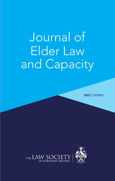# Journal of Elder Law and Capacity

**2022** | SPRING

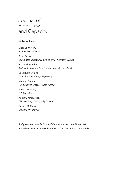## Journal of Elder Law and Capacity

#### **Editorial Panel**

Linda Johnston, *(Chair), TEP, Solicitor* Brian Carson, *Committee Secretary, Law Society of Northern Ireland*  Elizabeth Dowling *Assistant Librarian, Law Society of Northern Ireland* Dr Barbara English, *Consultant in Old Age Psychiatry* Michael Graham, *TEP, Solicitor, Cleaver Fulton Rankin* Sheena Grattan, *TEP, Barrister* Andrew Kirkpatrick, *TEP, Solicitor, Murray Kelly Moore* Garrett McCann, *Solicitor, DA Martin*

*Sadly, Heather Semple, Editor of the Journal, died on 9 March 2022. She will be truly missed by the Editorial Panel, her friends and family.*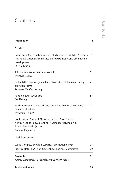### **Contents**

| <b>Information</b>                                                                                                                                                            | ii       |
|-------------------------------------------------------------------------------------------------------------------------------------------------------------------------------|----------|
| <b>Articles</b>                                                                                                                                                               |          |
| Some (more) observations on selected aspects of Wills for Northern<br>Ireland Practitioners: The estate of Brigid Gilhooly and other recent<br>developments<br>Sheena Grattan | 1        |
| Joint bank accounts and survivorship<br>Dr David Capper                                                                                                                       | 31       |
| In death there are no guarantees: disinherited children and family<br>provision claims<br>Professor Heather Conway                                                            | 41       |
| Funding adult social care<br>Les Allamby                                                                                                                                      | 57       |
| Medical considerations: advance decisions to refuse treatment/<br>advance directives<br>Dr Barbara English                                                                    | 72       |
| Book review: Power of Attorney: The One-Stop Guide:<br>All you need to know: granting it, using it or relying on it,<br>Sandra McDonald (2021)<br><b>Andrew Kirkpatrick</b>   | 75       |
| Useful resources                                                                                                                                                              |          |
| World Congress on Adult Capacity - promotional flyer<br>Practice Note - LSNI Non-Contentious Business Committee                                                               | 77<br>79 |
| <b>Casenotes</b><br>Andrew Kirkpatrick, TEP, Solicitor, Murray Kellly Moore                                                                                                   | 81       |
| <b>Tables and Index</b>                                                                                                                                                       | 85       |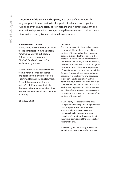The **Journal of Elder Law and Capacity** is a source of information for a range of practitioners dealing in all aspects of elder law and capacity. Published by the Law Society of Northern Ireland, it aims to have UK and international appeal with coverage on legal issues relevant to elder clients, clients with capacity issues, their families and carers.

#### **Submission of content**

We welcome the submission of articles for the consideration by the Editorial Panel with a view to publication. Authors are asked to contact *Elizabeth.Dowling@lawsoc-ni.org* to obtain a style sheet.

Submission of an article will be held to imply that it contains original unpublished work and is not being submitted for publication elsewhere. All contributions are sent at the author's risk. Please note that where there are references to websites, links to these websites were live at the time of writing.

ISSN 2632-3923

#### **Disclaimer**

The Law Society of Northern Ireland accepts no responsibility for the accuracy of the contents of the Journal and any views and opinions expressed in the Journal are those of the contributors and are not necessarily those of the Law Society of Northern Ireland, save where otherwise indicated. Although all reasonable care is taken in the preparation of material for publication in the Journal, the Editorial Panel, publishers and contributors accept no responsibility for any loss caused to any person acting or refraining from acting as a result of material contained in or omitted from the Journal. The Journal is not a substitute for professional advice. Readers should satisfy themselves as to the accuracy, completeness, adequacy and currency of the contents of the Journal.

© Law Society of Northern Ireland 2022. All rights reserved. No part of this publication may be reproduced or transmitted in any form or by any means electronic or mechanical, including photocopying, recording of any retrieval system, without the written permission of the Law Society of Northern Ireland.

Published by the Law Society of Northern Ireland, 96 Victoria Street, Belfast BT1 3GN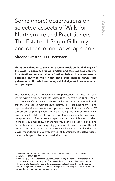<span id="page-4-0"></span>Some (more) observations on selected aspects of Wills for Northern Ireland Practitioners: The Estate of Brigid Gilhooly and other recent developments

Sheena Grattan, TEP, Barrister

**This is an addendum to the writer's recent article on the challenges of the Covid-19 pandemic for will-drafters and case law developments in contentious probate claims in Northern Ireland. It analyses several decisions involving wills which have been handed down since publication of the article, including a detailed judicial examination of costs principles.**

The first issue of the 2020 volume of this publication contained an article by the writer entitled, *'Some Observations on Selected Aspects of Wills for Northern Ireland Practitioners'*. 1 Those familiar with the contents will recall that there were three main 'takeaway' points. First, that in Northern Ireland reported decisions on contentious probate claims (in the strict 'Order 76'  $sense$ )<sup>2</sup> are surprisingly rare. Notwithstanding the almost exponential growth in will validity challenges in recent years (especially those based on a plea of lack of testamentary capacity) when the article was published in the early summer of 2020, there had only been nine reported decisions. Secondly, and even more surprisingly, in none of those cases was the will declared to be invalid following a contested hearing. Thirdly, that the Covid-19 pandemic, through which we all still continue to struggle, presents many challenges for the professional will-drafter.

<sup>&</sup>lt;sup>1</sup> Sheena Grattan, Some observations on selected aspects of Wills for Northern Ireland *practitioners* (2020) JELC 20.

<sup>&</sup>lt;sup>2</sup> Order 76 (1)(2) of the Rules of the Court of Judicature (NI) 1980 defines a "probate action" as meaning an action for the grant of probate of the will, or letters of administration of the estate, of a deceased person or for the revocation of such a grant or for the decree pronouncing for or against the validity of an alleged will, not being an action which is noncontentious or common form probate business.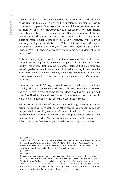The initial article had been precipitated by the recently published judgment of McBride J in *Guy* v *McGregor*, 3 the first substantive decision on validity disputes for 16 years.<sup>4</sup> One might not have anticipated another reported decision for some time. However, it would appear that Northern Ireland contentious probate judgments share something in common with buses. Just as there had been two cases in quick succession in 2003 and again, albeit on more incidental issues, in 2016, *Guy* v *McGregor* was followed relatively quickly by the decision of McBride J in *McGarry* v *Murphy as the personal representative of Brigid Gilhooly Deceased;The Estate of Brigid Gilhooly Deceased* <sup>5</sup> and, very recently, by a fulsome costs judgment in the same case.<sup>6</sup>

Both the main judgment and the decision on costs in *Gilhooly* should be compulsory reading for all those who prepare wills or advise clients on validity challenges. Both judgments contain detailed but pragmatic and realistic guidance on solicitor's duties, both when taking instructions for a will and when defending a validity challenge, whether as an executor or otherwise (including some welcome clarification on *Larke* v *Nugus* responses).

The actual outcome in *Gilhooly* is less noteworthy. The validity of the will was upheld, although interestingly the learned Judge described her decision on the forgery plea in respect of the solicitor-drafted will as being a 'line-ball' one. The Northern Ireland practitioner still awaits a modern decision in which a will is declared invalid following a contested hearing.<sup>7</sup>

Before we turn to the will of the late Brigid Gilhooly, however, it may be helpful to consider a miscellany of other recent judgments, from both this jurisdiction and England and Wales which will be of interest to all professional will-drafters. All concern the drafting and content of wills rather than substantive validity. We start with a brief update on the dilemmas of will-making in the Covid-19 era, as yet to feature in a reported decision.

<sup>3</sup> [2019] NICh 17.

<sup>4</sup> The first part of this article incorporates a table of the nine Northern Ireland decisions. Both 2016 decisions, *In the Estate of Brian McKenzie* ([2016] NI Ch 10) and *Watton and Watton v Crawford* ([2016] NICh 14), are essentially about costs and/or procedure. In one the claim was discontinued. In the other the validity of the will was conceded.

<sup>5</sup> [2020] NICh 15.

<sup>6</sup> [2021] NICh 21.

<sup>7</sup> In practice wills are propounded against by agreement which can now be done as a 'paper' exercise on foot of article 34 of the Wills and Administration Proceedings (NI) Order 1994. This is discussed further at page 18 below, together with the *Estate of James McKeown Deceased* (unreported, 3rd November 2021, McBride J) in which the will of the testator was declared invalid on the ground of lack of capacity, effectively on the application of the rules governing the burden of proof when no defence had been entered.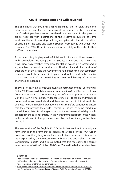#### **Covid-19 pandemic and wills revisited**

The challenges that social-distancing, shielding and hospital/care home admissions present for the professional will-drafter in the context of the Covid-19 pandemic were considered in some detail in the previous article, together with illustrations of the creative resourceful of some local practitioners in ensuring that they complied with the will formalities of article 5 of the Wills and Administration Proceedings (NI) Order 1994 (hereafter 'the 1994 Order') while ensuring the safety of their clients, their staff and themselves.

At the time of its going to press the Ministry of Justice were still in discussions with stakeholders including the Law Society of England and Wales, and it was uncertain whether temporary legislation would be enacted and, if so, whether that would extend also to Northern Ireland. By the time of publication of the article the Government had announced that temporary measures would be enacted in England and Wales, made retrospective to 31<sup>st</sup> January 2020 and remaining in place until January 2022, unless shortened or extended.

The Wills Act 1837 (Electronic Communications) (Amendment) (Coronavirus) Order 2020<sup>8</sup> has now duly been made under sections 8 and 9 of the Electronic Communications Act 2000, amending the definition of 'presence' in section 9 of the 1837 Act to include videoconferencing.<sup>9</sup> These amendments do not extend to Northern Ireland and there are no plans to introduce similar changes. Northern Ireland practitioners must therefore continue to ensure that they comply with the article 5 formalities, as well as being mindful of the additional risks of challenges to substantial and essential validity of wills prepared in the current climate. These were summarised both in the writer's earlier article and in the guidance issued by the Law Society of Northern Ireland.10

The assumption of the English 2020 Order is that section 9 in its original form (that is, in the form that is identical to article 5 of the 1994 Order) does not permit anything other than face to face presence. This was the view expressed by the Law Commission for England and Wales in its 2017 Consultation Report<sup>11</sup> and it is submitted that this represents the correct interpretation of article 5 of the 1994 Order. Time will tell whether a Northern

<sup>8</sup> SI 2020/195.

<sup>9</sup> The newly added s 9(2) is very short: '…in relation to wills made on or after 31 January 2020 and on or before 31 January 2022, 'presence' includes presence by means of videoconference or other visual transmission'.

<sup>10</sup> *https://www.lawsoc-ni.org/guidance-on-the-execution-of-wills-during-the-covid-19-crisis*

<sup>&</sup>lt;sup>11</sup> Law Commission for England and Wales, Making a Will, Consultation Paper 231 (2017).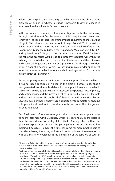Ireland court is given the opportunity to make a ruling on the phrase 'in the presence of' and, if so, whether a Judge is prepared to give an expansive interpretation that allows for 'virtual' presence.

In the meantime, it is submitted that any vestiges of doubt that witnessing through a window satisfies the existing article 5 requirements have been removed<sup>12</sup> - so long as there is the fundamental requirement of a 'clear line of sight'. The relevant cases are set out at pages 24 and 25 of the writer's earlier article and to these we can add the additional comfort of the Government Guidance published for England and Wales on 25<sup>th</sup> July 2020 and updated on 20<sup>th</sup> August 2020. On the basis of the official Guidance the following scenarios would lead to a properly executed will within the existing Northern Ireland law, provided that the testator and the witnesses each have the requisite clear line of sight: witnessing through a window or open door of a house or vehicle; witnessing from a corridor or adjacent room into a room with the door open and witnessing outdoors from a short distance such as in a garden.<sup>13</sup>

As the temporary amended legislation does not apply to Northern Ireland,<sup>14</sup> it has not been considered in detail in this article. Suffice to say that it has generated considerable debate in both practitioner and academic succession law circles, particularly in respect of the potential loss of privacy and confidentiality and the increased risk of undue influence on vulnerable and isolated testators. No doubt all of these issues will be revisited by the Law Commission when it finally has an opportunity to complete its ongoing wills project and no doubt to consider afresh the desirability of a general dispensing power.

Two final points of interest emerge for the Northern Ireland practitioner from the accompanying Guidance, which is substantially more detailed than the amendment to the legislation itself. Among other matters, the guidance expressly encourages the participants to record the video link meeting if possible. Perhaps the time has come for more practitioners to consider videoing the taking of instructions for wills and the execution of wills as a matter of course (with the permission of the testator, of course).

<sup>&</sup>lt;sup>12</sup> Even the official LSNI guidance sounded a note of caution as to execution through glass.

<sup>&</sup>lt;sup>13</sup> The Guidance is found at *https://www.gov.uk/guidance/guidance-on-making-wills-usingvideo-conferencing* .

<sup>&</sup>lt;sup>14</sup> Although it may be possible that a will executed in Northern Ireland which does not comply with article 5 of the 1994 Order is valid if it complies with the new, temporary English provisions. The Wills Act 1963, which extends to Northern Ireland, provides a potential choice of seven possible legal systems to which reference may be had to validate a will. In addition to the law of the country of execution, there is the law of the country of nationality, domicile or habitual residence either at the date the will was executed or the date of death. In addition, for immoveable property a will be treated as validly executed if the execution complies with the "internal law" of the lex situs.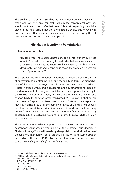The Guidance also emphasises that the amendments are very much a last resort and 'where people can make wills in the conventional way they should continue to do so'. On that point, it is worth repeating the advice given in the initial article that those who had no choice but to have wills executed in less than ideal circumstances should consider having the will re-executed as soon as circumstances permit.

#### **Mistakes in identifying beneficiaries**

#### **Defining family members**

"I'm tellin' you, the Scholar Bentham made a banjax o' the Will, instead o' sayin', 'the rest o' me property to be divided between me first cousin Jack Boyle, an' me second cousin Mick Finnegan, o' Santhry', he writ down only, 'me first and second cousins', an' the world an' his wife are after th' property now."15

The historian Professor Theodore Plucknett famously described the law of succession as 'an attempt to define the family in terms of property.'16 One of the multifarious ways in which succession laws have shaped who is both included within and excluded from family structures has been by the development of a body of principles and presumptions that apply to the construction of testamentary gifts when beneficiaries are defined by a relationship to the testator, rather than named. Well-known illustrations are that the term 'nephew' or 'niece' does not *prima facie* include a nephew or niece by marriage<sup>17</sup> (that is, the nephew or niece of the testator's spouse) and that the word 'issue' *prima facie* means lineal descendants of every degree,<sup>18</sup> again including only persons who satisfy the description by consanguinity and excluding relationships of affinity such as children-in-law and stepchildren.

The older authorities which purport to set out the core meaning of certain descriptions must now be read in light of the Supreme Court decision in *Marley* v *Rawlings*19 and will invariably always yield to extrinsic evidence of the testator's intention on foot of article 25 of the Wills and Administration Proceedings (NI) Order 1994. Two recent illustrations from the English courts are *Reading* v *Reading*20 and *Wales* v *Dixon.*<sup>21</sup>

<sup>&</sup>lt;sup>15</sup> Captain Boyle from Juno and the Paycock by Sean O'Casey.

<sup>&</sup>lt;sup>16</sup> TPT Plucknett, A Concise History of the Common Law, 5th ed., London (1956) at p 711.

<sup>17</sup> *Re Daoust* [1941] 1 All ER 443.

<sup>18</sup> *Re Burnham* [1918] 2 Ch 196.

<sup>19</sup> [2015] AC 129.

<sup>&</sup>lt;sup>20</sup> [2015] WTLR 1245.

<sup>21</sup> [2020] EWHC 1979 (Ch).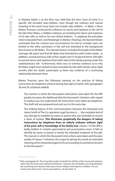In *Reading* Asplin J, as she then was, held that the term 'issue of mine' in a specific will included step-children, even though the ordinary and natural meaning of the word 'issue' does not include step-children. In *Wales* v *Dixon* Master Teverson construed the reference to nieces and nephews in the will of the late Peter Wales, a childless widower, as including the nieces and nephews of his late wife, as well as his own blood relatives. In applying the principles which emanated from Lord Neuberger in *Marley* v *Rawlings*, the learned Master concluded that the 'context and circumstances' he had to consider were not limited to the other provisions in the will but extended to the background facts known to Mr Wales. The relevant factors included the length of the Wales' marriage (46 years) and that Mr Wales had inherited his wife's entire estate. In addition, several previous wills of the couple were in reciprocal terms with gifts to named nieces and nephews from both sides of the family passing under the substitutionary will. Furthermore, there was no extrinsic evidence as to why Mr Wales might have wished to have excluded his late wife's family some eight months after her death, particularly as there was evidence of a continuing relationship between them.

Master Teverson gave the following warning on the practice of taking instructions by telephone without having had sight of earlier wills (paragraphs 28 and 29, emphasis added):

The manner in which the Deceased's instructions were taken for the Will greatly increases the likelihood that the Deceased's intention with regard to residue was not understood. His instructions were taken by telephone. The draft will was prepared and sent out on the same day.

The striking feature of the communications between the Deceased and Janice Smith of The Co-operative Legal Services is …. the complete lack of any attempt to establish by name or parent who was intended to receive a share of residue. **This illustrates graphically the dangers of taking instructions by telephone from an elderly widower without sight of his prior will or knowledge of his family tree**. Clause 7 of the Will is badly drafted. It contains grammatical and punctuation errors. It fails to identify by name or parent or family the intended recipients of the gift. The manner in which the Deceased's instructions were taken and the poor quality of clause 7 enhances the scope for giving the words an extended meaning when interpreted against the surrounding circumstances known to the Deceased.<sup>22</sup>

<sup>&</sup>lt;sup>22</sup> Ibid. at paragraph 28. The actual gift sought to benefit the children of the nieces and nephews, rather than the nieces and nephews themselves. However, the will drafters use of apostrophes left something to be desired, referring to 'niece's children' and 'nephew's children'. On one construction there were 7 nieces and nephews. On the other 15.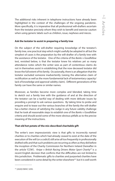The additional risks inherent in telephone instructions have already been highlighted in the context of the challenges of the ongoing pandemic. More specifically, it is imperative that all professional will-drafters ascertain from the testator precisely whom they wish to benefit and exercise caution when using generic labels such as children, issue, nephews and nieces.

#### **Ask the testator to assist in preparing a family tree**

On the subject of the will-drafter requiring knowledge of the testator's family tree, one practical step which might usefully be adopted in all but the simplest of cases is the preparation by the will-drafter of a family tree with the assistance of the testator. One of the criteria of the *Banks* v *Goodfellow* test, revisited below, is that the testator knew his relatives yet so many attendance notes which the writer sees as part of contentious claims do not in themselves assist in establishing that the now deceased testator did know the full extent of his family. Occasionally, there is an allegation that the testator excluded someone inadvertently (raising the alternative claim of rectification as well as the more fundamental lack of testamentary capacity/ lack of knowledge and approval validity claim). Different generations of the family can have the same or similar names.

Moreover, as families become more complex and blended, taking time to sketch out a family tree with the guidance of and at the direction of the testator can be a tactful way of dealing with more delicate issues by providing a prompt to ask various questions. By taking time to probe and enquire and to tease out the various branches of the family the will-drafter has a better chance of satisfying the Judge in any future validity challenge that he took all reasonable steps to establish one of the *Banks* v *Goodfellow* criteria and should avoid some of the more obvious pitfalls as to the precise meaning of the instructions.

#### **That old hot potato of the mis-described charitable gift**

The writer's own impressionistic view is that gifts to incorrectly named charities or to charities which had already ceased to exist at the date of the execution of the will (or a codicil) still arise all too frequently in professionally drafted wills and that such problems are recurring as often as they did before the inception of the Charity Commission for Northern Ireland (hereafter in the article 'CCNI'). *Knipe* v *British Racing Drivers Motor Sport Charity23* is a recent English decision that confirms that the difficulties are not limited to this jurisdiction. Problematic gifts to charities and purported charities have been considered in some detail by the writer elsewhere<sup>24</sup> but it is well worth

<sup>23</sup> [2020] EWHC 3295.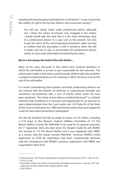repeating the warning given by Brightman J in *Re Recher,*25 a case concerning the validity of a gift to the by then defunct anti-vivisection society:<sup>26</sup>

The will was clearly made under professional advice, although not, I think, the advice of persons now engaged in the matter. I would myself take the view that it is the most elementary duty of a professional adviser in a case such as the present, not only to get the name of the unincorporated association right, but also to confirm that the association is still in existence when the will is made, and not to rely, as presumably this professional adviser relied, on inaccurate information furnished by the client.

#### **But it is not** *always* **the fault of the will-drafter…**

Many of the cases discussed in this article have involved situations in which the will-drafter is at least in part responsible for the outcome. The unfortunate reality is that when a professionally drafted will ends up before a Judge for a determination as to its meaning or effect, the focus turns to the role of the will-drafter.

It is worth remembering that testators and their professional advisers are not imbued with the Wisdom of Solomon or supernatural foresight and sometimes circumstances take a turn of events which could not have been predicted. The *Estate of John Marcus Stratford Deceased*27 is a helpful reminder that sometimes it is necessary and appropriate for an executor to seek a determination from the Court under rule 2 of Order 85 of the Rules of the Court of Judicature Act 1980 and that the events that have happened could not have been prevented or anticipated.

The late Mr Stratford had left an estate in excess of £10 million, including a 3/18 share to 'the Masonic Orphans Welfare Committee of 115 The Mount, Belfast (Charity No XN45446) to be used for its general purposes'. On 1<sup>st</sup> September 2016, the date when the Testator made his will, MOWC was located at 115 The Mount Belfast and it was registered with HMRC as a charity, with the charity number XN45446. However, MOWC's initial application to CCNI for registration had been unexpectedly declined, with the consequence that MOWC's previous 'registration' with HMRC was suspended in April 2019.

<sup>24</sup> Sheena Grattan, *The Charity as Beneficiary and other Elementary Duties* (2017) 1 Folio 19 -29.

<sup>25 [1972]</sup> Ch 256.

<sup>&</sup>lt;sup>26</sup> Association (which was in fact not exclusively charitable) wound up on 1 January 1957; will made just over four months later; testatrix died in 1962.

<sup>27 [2021]</sup> NICh 3.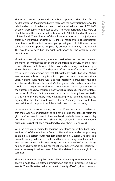This turn of events presented a number of potential difficulties for the neutral executor. Most immediately, there was the potential inheritance tax liability which would arise if a share of residue valued in excess of £650,000 became chargeable to inheritance tax. The other residuary gifts were all charitable and the testator had no transferable Nil Rate Band or Residence Nil Rate Band. The full terms of the will are not reported in the judgment, but they were unusual and if the 3/18 share of residue was not exempt from inheritance tax, the notoriously complex grossing up calculations of the socalled '*Re Benham* approach' to partially exempt residue may have applied. This would also have had financial implications for the other residuary beneficiaries.

More fundamentally, from a general succession law perspective, there was the matter of whether the gift of the share of residue should, on the proper construction of the testator's will, be construed as a being conditional upon MOWC being charitable. The disputed gift was one of a distinct share of residue and it was common case that if the gift failed on the basis that MOWC was not charitable and the gift on its proper construction was conditional upon it being such, there was a partial intestacy. Fortunately, the sole statutory next of kin was the testator's elderly sister, who had confirmed that should the share pass to her she would redirect it to MOWC or, depending on the outcome, to a new charitable body which carried out similar (charitable) purposes. A different factual scenario would undoubtedly have resulted in a large number of statutory next of kin having to be joined as defendants, arguing that the share should pass to them. Similarly, there would have been additional complications if the elderly sister had lost capacity.

In the event of the court holding both that MOWC was not charitable and that there was no conditionality as to it having to be charitable to retain the gift, the Court would have to have analysed precisely how this ostensibly non-charitable purpose trust should be validated. That conceptual quagmire has not yet been considered by a Northern Ireland court.

With the two-year deadline for securing inheritance tax writing back under section 142 of the Inheritance Tax Act 1984 and its attendant opportunity to ameliorate certain outcomes fast approaching, McBride J facilitated a prompt hearing. In the end, what could have been a very complex situation was resolved when the learned Judge declared that MOWC is and always had been charitable as being for the relief of poverty and consequently it was unnecessary to address any of the other determinations sought in the summons.

The case is an interesting illustration of how a seemingly innocuous will can spawn a multi-layered estate administration due to an unexpected turn of events. The will-drafter had taken care to identify MOWC by its address and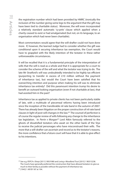the registration number which had been provided by HMRC (ironically the inclusion of the number giving some legs to the argument that the gift may have been tied to charitable status). Moreover, the will even incorporated a relatively standard automatic 'cy-près' clause which applied when a charity ceased to exist or had amalgamated (but not, on its language, to an organisation which had never been charitable).

Most commentators would agree that the will-drafter could not have done more. If, however, the learned Judge had to consider whether the gift was conditional upon it securing inheritance tax exemption, the Court would have to grappled with the likely intention of the testator in these rather unforeseeable circumstances.

It will be recalled that it is a fundamental principle of the interpretation of wills that the will is read as a whole and that it is appropriate for a court to consider the scheme of the will and what the testator was trying to do. The late Mr Stratford's will was undoubtedly intended to be highly tax efficient (purporting to transfer in excess of £10 million without the payment of inheritance tax), but would the Court have been satisfied that his overarching intention and purpose when making his will was to eliminate inheritance tax entirely? Did this paramount intention trump his desire to benefit an outward looking organisation (even if not charitable at law), that had assisted him in the past?

Inheritance tax as applied to private clients has not been particularly stable of late, with a multitude of piecemeal reforms having been introduced since the inception of the transferable nil rate band in the autumn of 2007. There has already been litigation on the proper construction of nil rate band clauses in light of post-will changes in the law.28 The counsel of perfection is of course the regular review of wills following any change to the inheritance tax legislation. In *Perrin v Morgan*29 Lord Atkin famously referred to the ghosts of dissatisfied testators who await on the other bank of the Styx to receive the judicial personages who have misconstrued their wills. The more that a will-drafter can ascertain and record as to the testator's reasons, the more confidence that a future court will have that it is able to give effect to his intentions.

<sup>28</sup> See e.g. *RSPCA v Sharp* [2011] I WLR 980 and *Loring v Woodland Trust* [2015] 1 WLR 3238. The Courts have generally preferred the construction that have allowed testators to give as much to their family as possible without the payment of inheritance tax.

<sup>29 [1943] 1</sup> All ER 187 at 194.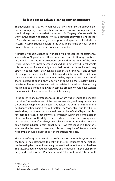#### **The law does not always lean against an intestacy**

The decision in *Re Stratford* underlines that a will-drafter cannot provide for every contingency. However, there are some obvious contingencies that should always be addressed with a testator. As Megarry VC observed in *Re D (J)*30 in the context of statutory wills, a competent private client solicitor is "one who knows something of ademption and lapse and will include the necessary administrative powers in the will". To state the obvious, people do not always die in the correct or expected order.

It is trite law that if a beneficiary under a will predeceases the testator his share fails, or "lapses" unless there are express substitutionary provisions in the will. The statutory exception contained in article 22 of the 1994 Order is limited to lineal descendants and does not extend to collaterals. It is not atypical for an elderly unmarried testator to leave his residuary estate "in equal shares" between his octogenarian siblings. If one of more of them predeceases him, there will be a partial intestacy. The children of the deceased siblings may, not unreasonably, expect to take their parent's share (instead of taking only a portion of same on the resultant partial intestacy). It may be, of course, that the testator in question intended only his siblings to benefit, but in which case he probably would have wanted a survivorship clause to prevent a partial intestacy.

In the absence of clear attendances as to whom was intended to benefit in the rather foreseeable event of the death of an elderly residuary beneficiary, the aggrieved nephews and nieces have at least the germs of a troublesome negligence action against the will-drafter. The "evidential" hurdle will be in establishing that the testator wanted them to benefit; the "legal" hurdle is for them to establish that they were sufficiently within the contemplation of the draftsman for the duty of care to extend to them. The consequences of lapse should therefore always be explained to testators and instructions taken about substitutionary beneficiaries. At that stage if a testator is adamant that he does not want any substitutionary beneficiaries, a careful note of this should be kept as part of the attendance note.

The *Estate of Mary Alice Smyth*31 is a useful decision of Humphreys J in which the testatrix had attempted to deal with the consequences of her siblings predeceasing her, but unfortunately none of the four of them survived her. The testatrix had divided her residuary estate between **'**[her] sister Susan Berry and [her] brothers Phil Smith<sup>32</sup> and John Smith and Patrick Smith

<sup>30 [1982]</sup> Ch 237.

<sup>31</sup> [2021] NICh 16.

<sup>&</sup>lt;sup>32</sup> Smith was in fact a spelling mistake and the family name was Smyth.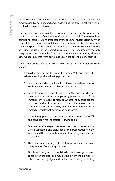or the survivor or survivors of each of them in equal shares". Susan was predeceased by her husband and children but the three brothers were all survived by several children.

The question for determination was what is meant by the phrase "the survivor or survivors of each of them" as used in the will. There were three competing interpretations presented by the executor:that the term 'survivor' only relates to the named individuals; that the term 'survivor' includes any surviving spouse of the named individuals; that the term 'survivor' includes any surviving issue of the named individuals. The executor was the only party represented before the Court and it is not evident from the judgment as to what arguments were being made by what potential beneficiaries.

The learned Judge referred to Lord Lowry's *locus classicus* in *Heron v Ulster Bank:*<sup>33</sup>

I consider that, having first read the whole Will, one may with advantage adopt the following procedure:

- 1. Read the immediately relevant portion of the Will as a piece of English and decide, if possible, what it means.
- 2. Look at the other material parts of the Will and see whether they tend to confirm the apparently plain meaning of the immediately relevant portion or whether they suggest the need for modification in order to make harmonious sense of the whole or, alternatively, whether an ambiguity in the immediately relevant portion can be resolved.
- 3. If ambiguity persists, have regard to the scheme of the Will and consider what the testator is trying to do.
- 4. One may at this stage have resort to rules of construction, where applicable, and aids, such as the presumption of early vesting and the presumptions against intestacy and in favour of equality.
- 5. Then see whether any rule of law prevents a particular interpretation from being adopted.
- 6. Finally, and, I suggest, not until the disputed passage has been exhaustively studied, one may get help from the opinions of other courts and judges and similar words, rarely is binding

<sup>33</sup> [1974] NI 44.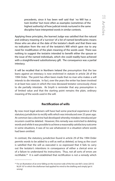precedents, since it has been well said that `no Will has a twin brother' but more often as examples (sometimes of the highest authority) of how judicial minds nurtured in the same discipline have interpreted words in similar contexts.

Applying these principles**,** the learned Judge was satisfied that the natural and ordinary meaning of a 'survivor' of a list of named beneficiaries means those who are alive at the date of the testator's death and that there was no indication from the rest of the testatrix's Will which gave rise to any need for modification of the plain meaning of the words used. There was nothing to suggest the testatrix intended to benefit either the spouse or the issue of the named individuals, which she could readily have achieved with a straightforward substitutionary gift. The consequence was a partial intestacy.

It will be recalled that in Northern Ireland the presumption that the law leans against an intestacy is now enshrined in statute in article 28 of the 1994 Order. The point has often been made that no man who makes a will intends to die intestate. In fact, over the years the writer has been involved in at least two cases in which the now deceased testator consciously chose to die partially intestate. *Re Smyth* is reminder that any presumption is of limited value and that the starting point remains the plain, ordinary meaning of the words used in the will.

#### **Rectification of wills**

By now most legal advisers will have had some practical experience of the statutory jurisdiction to rectify wills which was introduced over 25 years ago. At common law a doctrine had developed whereby mistakes introduced *per incuriam* could be deleted. However, this remedy was restricted to deleting words and while it was possible to achieve a reasonably satisfactory outcome in some situations, it was of no use whatsoever in a situation where words had been omitted.

In contrast, the statutory jurisdiction found in article 29 of the 1994 Order permits words to be added to a will as well as deleted, so long as the court is satisfied that the will as executed is so expressed that it fails to carry out the testator's intentions in consequence of either a clerical error or of a failure to understand his instructions. Thus, not all sorts of errors are rectifiable.<sup>34</sup> It is well established that rectification is not a remedy which

<sup>34</sup> For an illustration of an error falling on the incorrect side of the line see *Kell v Jones* [2013] NLJR 107 in which the draftsman had applied his mind to the drafting and simply 'got it wrong'.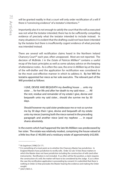will be granted readily in that a court will only order rectification of a will if there is "convincing evidence" of a testator's intentions.<sup>35</sup>

Importantly also it is not enough to satisfy the court that the will as executed was not what the testator intended; there has to be sufficiently compelling evidence of precisely what the testator intended to include instead. In many situations it is evident that the drafting could not have been intended by the testator but there is insufficiently cogent evidence of what precisely was intended instead.

There are several will rectification claims heard in the Northern Ireland Chancery Court<sup>36</sup> each year, often unopposed. Most are not reported. The decision of McBride J in the *Estate of Patricia Milliken*37 contains a useful recap of the basic principles as well as some salutary advice on the keeping of attendance notes. As is often the case, the error in *Milliken* lay at the door of the will-drafter and the application for rectification was considered to be the most cost-effective manner in which to address it. By her Will the testatrix appointed her niece as her sole executrix. The relevant part of the Will provided as follows:

I GIVE, DEVISE AND BEQUEATH my dwelling house … unto my sister … for her life and after her death to my said niece …. All the rest, residue and remainder of my estate I give, devise and bequeath unto my said sister... should she survive me by 30 days.

Should however my said sister predecease me or not so survive me by 30 days then I give, devise and bequeath all my estate unto my nieces [naming both the niece named in the preceding paragraph and another niece [and my nephew …. in equal shares absolutely.

In the events which had happened the late Ms Milliken was predeceased by her sister.The estate was relatively modest, comprising the house valued at a little less than £140,000 and a residuary estate of approximately £42,000.

<sup>35</sup> *Re Segelman* [1996] Ch 171.

<sup>&</sup>lt;sup>36</sup> It is something of a moot point as to whether the Chancery Master has jurisdiction. In England Masters have jurisdiction to rectify wills. Order 32 rule 10 lists those matters in which the Master does not have jurisdiction including the construction of wills (and other instruments). Rectification is not included. If, as often will be the position, a claim requires the construction of a will, the matter will have to be considered by the Judge. If, as is often the case the rectification application is proceeding by consent it is submitted that there is nothing in Order 32 that precludes the Master hearing the evidence and making the Order sought.

<sup>37</sup> [2021] NICh 5.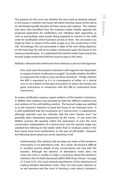The question for the court was whether the niece took an absolute interest in the house or whether the house fell within the final clause of the will to be distributed equally between all three nieces and nephew. The nephew and niece who benefited from the residuary estate initially opposed the proposed application for rectification, but withdrew their opposition as soon as proceedings were issued, being prepared to consent to the draft order for rectification which had been served on them. No concession was made by them in respect of the relief sought as to the construction of the will. Accordingly, the case proceeded, in light of the over-riding objective, on the basis that the will on its proper construction gave the house to the residuary beneficiaries. It is submitted that had the matter been tested the learned Judge would have held the house to pass to the niece.

McBride J referred to the well-known three-fold test as set out in *Re Segelman*:

First, what were the testator's intentions with regard to the disposition in respect of which rectification is sought? Secondly, whether the Will is so expressed that it fails to carry out those intentions. Thirdly, whether the Will is expressed as it is in consequence of either (a) a clerical error or (b) a failure on the part of someone to whom the testator has given instructions in connection with this Will to understand those instructions.

As noted, rectification requires cogent evidence of the testator's intentions. In *Milliken* that evidence was provided by both the affidavit evidence and oral evidence of the will-drafting solicitor. The learned Judge was satisfied as to the testatrix's intention to leave the house to her favoured niece. It is well-established that the touchstone of a "clerical error" is inadvertence, although reported case law indicates that the term "clerical error" has generally been interpreted expansively by the courts. In any event the *Milliken* scenario fell squarely within the parameters of even the most conservative interpretation of a 'clerical error' and the learned Judge was satisfied that referring to the 'estate' rather than to residuary estate in the final clause arose from inadvertence on the part of will-drafter. However, the following observations are worth repeating in full:

Unfortunately, [the solicitor] did not keep any notes of the testatrix's instructions or an attendance note. As a result, she found it difficult to recollect precise details of any conversations she had with the testatrix. Although the absence of attendance notes does not mean the court is unable to make a conclusion about the testatrix's intention (See *Re Heak (deceased)* [2002] NIJB 20 per Girvan J at page 21 D and 23 E*)*, the court reminds practitioners of the importance of making detailed attendance notes. They not only assist solicitors as an aid memoire and the court in forming a view about a testator's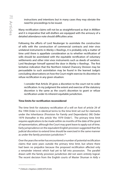instructions and intentions but in many cases they may obviate the need for proceedings to be issued.

Many rectification claims will not be as straightforward as that in *Milliken* and it is imperative that will-drafters are equipped with the armoury of a detailed attendance note should difficulties arise.

Following the efforts of Lord Neuberger to assimilate the construction of wills with the construction of commercial contracts and *inter vivos* unilateral instruments in *Marley* v *Rawlings*, it is probably only a matter of time until there is appellate consideration as to whether rectification of wills should be assimilated with the equitable rectification of voluntary settlements and other *inter vivos* instruments such as deeds of variation. Lord Neuberger himself opened the door in *Marley* v *Rawlings*. The first tentative indication that the Northern Ireland Chancery Division may be persuadable to such assimilation may be found in the learned Judge's concluding observations on how the Court might exercise its discretion to refuse rectification in any given situation:

I consider that Article 29 gives a discretion to the court not to order rectification. In my judgment the extent and exercise of the statutory discretion is the same as the court's discretion to grant or refuse rectification under its inherent equitable jurisdiction.

#### **Time limits for rectification reconsidered**

The time limit for statutory rectification of a will on foot of article 29 of the 1994 Order is in identical terms to the time limit set out for claimants under the Inheritance (Provision for Family and Dependants) (NI) Order 1979 (hereafter in this article 'the 1979 Order'). The primary time limit requires applications to be made within six months of the date of the grant of representation, although the Court may grant leave to apply out of time. Early jurisprudence on the equivalent English provision suggested that the judicial discretion to extend time should be exercised in the same manner as under the family provision jurisdiction.<sup>38</sup>

Over the years the writer has encountered a number of potential rectification claims that were years outside the primary time limit, but where there had been no prejudice because the proposed rectification affected only a remainder interest which had yet to fall into possession. The parallel drawn with the family provision jurisdiction did not seem entirely logical. The recent decision from the English courts of Master Shuman in *Kelly* v

<sup>38</sup> *Chittock v Stephens* [2000] WTLR 643.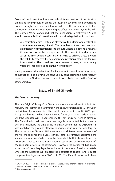*Brennan*39 endorses the fundamentally different nature of rectification claims and family provision claims, the latter 'effectively driving a coach and horses through testamentary intention' whereas the former 'seeks to find the true testamentary intention and give effect to it by rectifying the will." The learned Master concluded that the jurisdiction to rectify wills "is and should be more flexible" than the family provision legislation. In particular:

A rectification claim is often an alternative to a claim for a declaration as to the true meaning of a will. The latter has no time constraints and significantly no protection for the executor. There is a potential risk that if there was too restrictive approach to the time limit under [article 29 of the 1994 Order] a court may, in trying to achieve a result where the will truly reflected the testamentary intentions, strain too far in in interpretation. That could lead to an executor being exposed many years later for distributing on the wrong basis.<sup>40</sup>

Having reviewed this selection of will cases which touch upon the taking of instructions and drafting, we conclude by considering the most recently reported of the Northern Ireland contentious probate cases, in the *Estate of Brigid Gilhooly*.

#### **Estate of Brigid Gilhooly**

#### **The facts in summary**

The late Brigid Gilhooly ('the Testatrix') was a maternal aunt of both Ms McGarry the Plaintiff and Mr Murphy, the executor Defendant. Ms McGarry and Mr Murphy were cousins. The testatrix made her first will in 2008 aged 91, by which time she had been widowed for 35 years. She made a second will ('the Disputed Will') in September 2011, not long after her 94<sup>th</sup> birthday. The Plaintiff, who had previously been legally represented, but who was a personal litigant by the time of the hearing, claimed that the Disputed Will was invalid on the grounds of lack of capacity, undue influence and forgery. The terms of the Disputed Will were not that different from the terms of the will made some three years earlier. Both instruments appointed the same executors, one of whom was the Defendant; both instruments left the house and lands to a Malachy and Maureen Quinn and both instruments left the residuary estate to the executors. However, the earlier will had made a number of pecuniary legacies and specific bequests of various chattels, whereas the Disputed Will omitted the bequests of chattels and reduced the pecuniary legacies from £200 to £100. The Plaintiff, who would have

<sup>&</sup>lt;sup>39</sup> [2020] EWHC 245. This decision also explores the previously uncharted territory of private international law principles in respect of rectification.

<sup>40</sup> Ibid. at paragraph 34.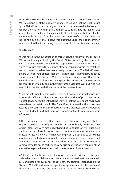received £200 under the earlier will, received only £100 under the Disputed Will. Paragraph 16 of the judgment appears to suggest that the relief sought by the Plaintiff included that a grant of letters of administration be issued to her, but there is nothing in the judgment to suggest that the Plaintiff was also seeking to challenge the earlier will. It would appear that the Plaintiff was embroiled in High Court litigation over the sum of £100. It may be that the Plaintiff, as a personal litigant, was labouring under the not uncommon misconception that invalidating the most recent will results in an intestacy.

#### **The decision**

As was noted in the introduction to this article, the validity of the Disputed Will was ultimately upheld by the Court. Notwithstanding the manner in which the solicitor who prepared the Disputed Will handled his retainer, to which we return below, the evidence of lack of capacity within the testatrix's medical notes at the key date was virtually non-existent. The Plaintiff's own expert Dr Todd had opined that the testatrix had testamentary capacity when she made the Disputed Will. The only lay evidence was that of the Plaintiff, whom the Judge acknowledged to be sincere and genuine in her beliefs as to the validity and authenticity of the Disputed Will, but who had very limited contact with the testatrix at the relevant time.

As all probate practitioners will be too well aware, undue influence is a notoriously difficult challenge to sustain. The burden of proof was on the Plaintiff. It was not sufficient that she showed that the Defendant had power to overbear the testatrix's will. The Plaintiff had to show that the power was actually exercised and that the execution of the Disputed Will was obtained by it. The Judge found that there was not a 'scintilla' of evidence of undue influence.

Rather unusually, the plea that came closest to succeeding was that of forgery. While instances of probate fraud are undoubtedly on the increase, forgery cases are very rare notwithstanding a couple of well-publicised criminal prosecutions in recent years. In the writer's experience it is difficult to secure a conclusive handwriting report, often due to difficulties in obtaining a selection of original specimen signatures from the relevant timeframe. Even when it is acknowledged that the alleged signature is significantly different to earlier ones, any discrepancy is often capable of the alternative explanation of a decline in the testator's physical health.

In *Gilhooly* the plaintiff's expert witness, forensic scientist Mr Craythorne, gave oral evidence in which he opined that indentations on the will were made in 2015 and noted various concerns as to how the testatrix's signature on the Disputed Will differed from the specimen signatures which he examined. Although Mr Craythorne concluded that the multiple strokes taken to make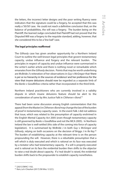the letters, the incorrect letter designs and the poor writing fluency were indicators that the signature could be a forgery, he accepted that this was really a '50/50' case. He could not reach a definitive conclusion that, on the balance of probabilities, the will was a forgery. The burden being on the Plaintiff, the learned Judge concluded that Plaintiff had not proved that the Disputed Will was a forgery to the requisite standard, adding, however, that she considered this to be a 'line ball" case.

#### **The legal principles reaffirmed**

The *Gilhooly* case has given another opportunity for a Northern Ireland Court to outline the well-known legal principles that govern testamentary capacity, undue influence and forgery and the relevant burden. The principles in respect of capacity and undue influence were summarised in the writer's earlier article and there is nothing novel or remarkable which emanates from the *Gilhooly* decision. Points that may be worth underlining are McBride J's reiteration of her observations in *Guy* v *McGregor* that 'there is *per se* no hierarchy in the sources of evidence' and her preference for the view that insane delusions should now be regarded as a separate limb of the *Banks* v *Goodfellow* criteria rather than incorporated in the third limb.

Northern Ireland practitioners who are currently involved in a validity dispute in which insane delusions feature should be alert to the consideration of same by Mrs Justice Falk in *Clitheroe* v *Bond*. 41

There had been some discussion among English commentators that this appeal (from the Master) in *Clitheroe* v *Bond* may change the law of the burden of proof in testamentary capacity cases. In the event Falk J did not address that issue, which was related to the presumption of capacity enshrined in the English Mental Capacity Act 2005 (even though testamentary capacity is still governed by *Banks* v *Goodfellow* and not the MCA 2005). In Northern Ireland the law is well-settled (this side of the coming into force of capacity legislation). It is summarised by McBride J in both *Guy* v *McGregor* and *Gilhooly*, relying on both occasions on the decision of Briggs J in *Re Key*. 42 The burden of establishing capacity at the relevant time is on the person propounding the will. However, there is a rebuttable presumption that a will which is duly executed and which is rational on its face was executed by a testator who had testamentary capacity. If a will is properly executed and is rational on its face the evidential burden then shifts to the objector to raise a real doubt about capacity. If a 'real doubt' is raised, the evidential burden shifts back to the propounder to establish capacity nonetheless.

<sup>41</sup> [2021] EWHC 1102.

<sup>42</sup> *Ram, Lal v Chauhan* (2017) EW Misc 12 (CC).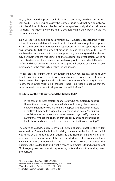As yet, there would appear to be little reported authority on what constitutes a 'real doubt'. In one English case<sup>43</sup> the learned judge held that non-compliance with the Golden Rule and the fact of a non-professionally drafted will were sufficient. The importance of being in a position to shift the burden should not be under-estimated.<sup>44</sup>

In an unreported decision from November 2021 McBride J accepted the writer's submission in an undefended claim in which the claimants sought to propound against the last will that a retrospective report from an expert psycho-geriatrician was sufficient to shift the burden of proof, so long as the opinion of the expert was based on evidence and in the ex tempore judgment suggested that the test may be whether there was something that called for an investigation. While no court likes to determine a case on the burden of proof, if the evidential burden is shifted and those benefiting under the impugned will offer no evidence, the only option open to the court is to declare the will invalid.

The real practical significance of the judgment in *Gilhooly* lies in McBride J's very detailed consideration of a solicitor's duties to take reasonable steps to ensure that a testator has capacity and the learned Judge's very fulsome guidance as to how those duties might be discharged. There is no reason to believe that the same duties do not extend to all professional will-drafters.<sup>45</sup>

#### **The duties of the will-drafter and the 'Golden Rule'**

In the case of an *aged* testator or a testator who has suffered a serious illness, there is one golden *rule* which should *always* be observed, however straightforward matters may appear, and however difficult or tactless it may be to suggest that precautions be taken: *the making of a will by such a testator ought to be witnessed or approved by a medical practitioner* who satisfied himself of the capacity and understanding of the testator, and records and preserves his examination and finding.<sup>46</sup>

The above so-called 'Golden Rule' was discussed at some length in the writer's earlier article. The relative lack of judicial guidance from this jurisdiction which was noted at that time has been addressed and Northern Ireland will-drafters now have the benefit of some of the most detailed, yet realistic, guidance found anywhere in the Commonwealth. The extract from McBride J's judgment that elucidates the Golden Rule and what it means in practice is found at paragraph 72 of her judgment and is worth reproducing in its entirety with some key points emphasised:

<sup>43</sup> See also *Ledger v Wootton* [2008] WTLR 235.

<sup>44</sup> On the basis of *Esterhuizen v Allied Dunbar* [1998] 2 FLR 668.

<sup>45</sup> Templeman J in *Re Simpson* [1997] 127 NLJ 487.

<sup>46</sup> Templeman J in *Re Simpson* [1997] 127 NLJ 487.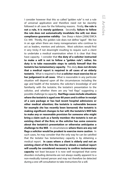I consider however that this so called "golden rule" is not a rule of universal application and therefore need not be slavishly followed in all cases for the following reasons. Firstly, **the rule is not a rule, it is merely guidance**. Secondly, **failure to follow the rule does not automatically invalidate the will; nor does compliance guarantee validity** - See *Sharp v Adam [2006]* EWCA Civ 449*.* Thirdly, the golden rule does not define "aged". We live in an age when there are many nonagenarians who continue to act as leaders, mentors and advisors. Most solicitors would find it very tricky if not downright insulting to require such a client to undertake a medical examination when it is clear that they have capacity. I consider that **the duty of a solicitor instructed to make a will is not to follow a "golden rule"; rather, his duty is to take reasonable steps to satisfy himself that the testatrix has testamentary capacity**. This duty **does not dictate that a medical report is required in all cases of an elderly testatrix**. What is required is that **a solicitor must exercise his or her judgement in all cases**. What is reasonable in any particular situation will depend upon all the circumstances including the age and health of the testatrix; the solicitor's knowledge of and familiarity with the testatrix; the testatrix's presentation to the solicitor, and whether there are any "red flags" suggesting a possible challenge to capacity. **Red flags cases include situations where the testatrix is aged over 80 years and is either in receipt of a care package or has had recent hospital admissions or other medical attention; the testatrix is vulnerable because for example she has recently been bereaved; the testatrix is making significant changes to her will; the testatrix's Will fails to make any or reasonable provision for someone who might bring a claim such as a family member; the testatrix is not an existing client of the firm; or the solicitor has some concerns about the testatrix's presentation or otherwise anticipates a challenge to the Will**. In circumstances **where there are any red flags a solicitor would be prudent to exercise more caution**. In such cases, he may consider that the only way he can be satisfied that the testator has testamentary capacity is by obtaining a medical report. **In cases where a client is elderly and not an existing client of the firm the need to obtain a medical report will usually be considered necessary to confirm testamentary capacity** not least because it is now well recognised that some disorders including dementia are not always readily apparent to a non-medically trained person and may not therefore be detected during a one-off consultation to take instructions for a will.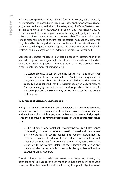In an increasingly mechanistic, standard-form 'tick-box' era, it is particularly welcoming that the learned Judge emphasises the application of professional judgement, eschewing an indiscriminate targeting of all 'aged' testators and instead setting out a (non-exhaustive) list of red-flags. These should already be familiar to all experienced practitioners. Nothing in the judgment should strike practitioners as controversial or unreasonable. The duty in all cases is to take reasonable steps to ensure that the testator has capacity. How that duty should be discharged will depend on the specific fact situation and in some cases will require a medical report. All competent professional willdrafters should already have been adopting the practices described.

Sometimes testators will refuse to undergo a capacity assessment and the learned Judge acknowledges that this delicate issue needs to be handled sensitively, again emphasising the importance of the solicitor's own professional judgement (at paragraph 73):

If a testatrix refuses to consent then the solicitor must decide whether he can continue to accept instructions. Again, this is a question of judgement. If the solicitor is otherwise satisfied as to the testatrix's capacity and is satisfied that the testatrix has given cogent reasons for, *e.g.*, changing her will or not making provision for a certain person or persons, the solicitor may decide he can continue to accept instructions.

#### **Importance of attendance notes (again…)**

In *Guy* v *McGregor* McBride J set out in some detail what an attendance note should cover and the relevant extract from the decision is reproduced in full in the writer's earlier article at page 32. In *Gilhooly* the learned Judge again takes the opportunity to remind practitioners to take adequate attendance notes:

…. it is extremely important that the solicitor prepares a full attendance note setting out a record of open questions asked and the answers given by the testatrix which satisfied him that the testatrix had the necessary capacity. In addition the attendance note should set out details of the solicitor's familiarity with the testatrix, how the testatrix presented to the solicitor, details of the testatrix's instructions and details of why the testatrix is for example changing her Will and/or excluding family members.

The sin of not keeping adequate attendance notes (or, indeed, any attendance notes) has already been mentioned in this article in the context of rectification. Northern Ireland solicitors may find practical guidance on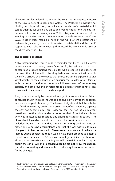all succession law related matters in the Wills and Inheritance Protocol of the Law Society of England and Wales. The Protocol is obviously not binding in this jurisdiction, but it includes much useful material which can be adapted for use in any office and would readily form the basis for an informal in-house training event.<sup>47</sup> The obligations in respect of the keeping of detailed and contemporaneous records are found at Clause 2.2.2. These include making a note of the will-drafter's assessment of testamentary capacity, the questions asked to establish it and the client's responses, with solicitors encouraged to record the actual words used by the client where possible.

#### **The solicitor's evidence**

Notwithstanding the learned Judge's reminder that there is no 'hierarchy of evidence' and that every case is fact-specific, the reality is that in most contentious probate actions the solicitor who prepared and supervised the execution of the will is the singularly most important witness. In *Gilhooly* McBride J acknowledges that the Court can be expected to give 'great weight' to the evidence of 'an experienced solicitor who is familiar with the testatrix and who conducts a full assessment of testamentary capacity and can prove this by reference to a good attendance note'. This is so even in the absence of a medical report.

Alas, in what can only be described as a judicial excoriation, McBride J concluded that in this case she was able to give 'no weight' to the solicitor's evidence in respect of capacity. The learned Judge found that the solicitor had failed to make any professional assessment of testamentary capacity, thereby not accepting his oral evidence that he had asked relevant questions. Neither his attendance notes nor that of the trainee solicitor who was in attendance recorded any efforts to establish capacity. The litany of red flags which should have caused the solicitor to have concerns included the testatrix's age, that she was not a longstanding client but rather only a passing acquaintance and that she was wishing to make changes to to her previous will. These were circumstances in which the learned Judge considered that it would have been prudent to obtain a report from the testatrix's GP or a consultant geriatrician. Furthermore, although the testatrix was changing her will, the solicitor took no steps to obtain the earlier will and in consequence he did not know the changes that she was making and was unable to make enquiries as to the reasons for the changes.

<sup>47</sup> Illustrations of best practice can also be found in the Code for Will Preparation of the Society of Trust and Estate Practitioners (STEP) which applies to all STEP members making wills in England. As yet, there is no equivalent Code applying to STEP members in NI.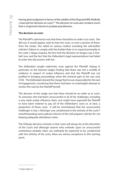Having given judgment in favour of the validity of the Disputed Will, McBride J reserved her decision on costs.48 The decision on costs also contains much that is of general interest to probate practitioners.

#### **The decision on costs**

The Plaintiff's submission was that there should be no order as to costs. She did not, it would appear, seek to have her costs, or even a portion of them, from the estate. She relied on various matters including the will-drafter solicitor's failure to comply with the Golden Rule or to respond promptly to her *Larke* v *Nugus* enquiry, the fact that the decision on forgery was a 'lineball' one, and the fact that the Defendant's legal representatives had failed to enter into discussions with her.

The Defendant sought indemnity costs against the Plaintiff, relying in particular on the learned Judge's finding that there was not a scintilla of evidence in respect of undue influence and that the Plaintiff was not justified in bringing proceedings when the nominal gain to her was only £100. The Defendant denied the charge that he was responsible for the lack of engagement, countering that there had been no meaningful attempt to resolve the case by the Plaintiff herself.

The decision of the Judge was that there should be no order as to costs. As someone who had been unsuccessful in all of her challenges, including a very weak undue influence claim, one might have expected the Plaintiff to have been ordered to pay all of the Defendant's costs or, at best, a proportion of those costs. It will be remembered that the unsuccessful challenger in *Guy* v *McGregor* was condemned in the entirety of the costs<sup>49</sup> notwithstanding some judicial criticism of the will-preparer solicitor for not keeping adequate attendance notes.

The *Gilhooly* decision reminds us that costs will always be at the discretion of the Court and although anyone who embarks upon an unsuccessful contentious probate claim can ordinarily be expected to be condemned with the entirety of the costs, there are various exceptions to this starting point.

<sup>48</sup> [2021] NICh 21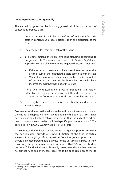#### **Costs in probate actions generally**

The learned Judge set out the following general principles on the costs of contentious probate claims:

- 1. Under Order 62 of the Rules of the Court of Judicature Act 1980 costs in contentious probate actions lie at the discretion of the Court;
- 2. The general rule is that costs follow the event;
- 3. In probate actions there are two long-standing exceptions to the general rule. These exceptions, set out in *Spiers* v *English* and applied in *Kostic* v *Chaplin* continue to guide the Court. They are:
	- If the testator or persons who have been interested in residue are the cause of the litigation the costs come out of the estate;
	- Where the circumstances lead reasonably to an investigation of the matter the costs will be borne by those who have incurred them rather than out of the estate;
- 4. These two long-established 'probate exceptions' are neither exhaustive nor rigidly prescriptive and they do not fetter the discretion of the Court to take other circumstances into account;
- 5. Costs may be ordered to be assessed on either the standard or the indemnity basis.

Costs were considered in the writer's earlier article and the material covered there is not be duplicated here, save to underline the point that costs have been increasingly likely to follow the event in that the judicial trend has been to narrow the two well-established specific 'probate' exceptions.<sup>50</sup> The costs decision in *Guy* v *Gregor* was illustrative of this.

It is submitted that *Gilhooly* has not altered this general position. However, the decision does provide a helpful illustration of the type of factual scenario that might justify a departure from the general principle. It should be remembered that it is always for the unsuccessful party to show cause why the general rule should not apply. That *Gilhooly* involved an unsuccessful undue influence claim only serves to underline that there are no blanket rules and every case deserves to be considered on its merits.

<sup>49</sup> That aspect of the case is not reported.

<sup>50</sup> See in particular *Vegetarian Society v Scott* [2013] EWHC 4097 and *Breslin v Bromley* [2015] EWHC 3760.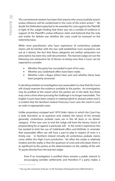The conventional wisdom has been that anyone who unsuccessfully asserts undue influence will be condemned in the costs of the entire action.<sup>51</sup> No doubt the Defendant expected to be awarded his costs against the Plaintiff, in light of the Judge's finding that there was not a scintilla of evidence in support of the Plaintiff's undue influence claim and believed that the only real matter for debate was whether the costs could be assessed on the indemnity basis.

While most practitioners who have experience of contentious probate claims will be familiar with the two well-established costs exceptions (set out at 3 above), the fact that these categories are neither exhaustive nor prescriptive has been less well documented. The learned Judge set out the following non-exhaustive list of factors as being ones that a Court can be expected to consider:

- Whether the party has succeeded in part of his case;
- • Whether any *Calderbank* offers have been made;
- Whether *Larke v Nugus* letters have sent and whether these have been properly answered.

In deciding whether an investigation was reasonable it is clear that the Court will closely examine the evidence available to the parties. An investigation may be justified at the outset when the parties are 'in the dark', but there may come a time when pursuing the challenge is no longer reasonable. The English Courts have been creative in making hybrid or phased orders and it is evident that the Northern Ireland Chancery Court sees the merit in such an order in appropriate cases.

Unlike proprietary estoppel and 1979 Order claims in which the Court has a wide discretion as to quantum and, indeed, the nature of the remedy generally, contentious probate cases are in the 'all duck or no dinner' category. If the case runs to trial the Judge will have the binary choice of propounding for or against a particular will. In the writer's experience this has tended to limit the use of *Calderbank* offers and McBride J's reminder that reasonable offers can still have a part to play in respect of costs is a timely one. In Northern Ireland virtually all contentious probate claims come within the High Court jurisdiction. Yet often the estate is relatively modest and the reality is that the quantum of costs and who bears them is as significant to the parties as the determination on the validity of the will. To quote directly from the learned Judge:

Even if an investigation is justified there remains a public interest in encouraging sensible settlements and therefore if a party makes a

<sup>51</sup> See e.g. the comments of Girvan J in *Re Thompson (Deceased) (Costs)* [2003] NI Fam 4.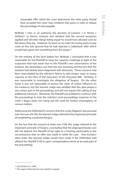reasonable offer which the court determines the other party should have accepted the court may condemn that party in costs or reduce the percentage of costs payable

McBride J cites as an authority the decision of Lewison J in *Perrins v Holland*. 52 In *Perrins*, Lewison was satisfied that the second exception applied and 'all other things being equal' he would have allowed costs to fall where they lay. However, he went on to order the losing party to pay costs on the sole ground that he had rejected a *Calderbank* offer which would have given him something from the estate.<sup>53</sup>

On the entirety of the facts before her, McBride J concluded that it was reasonable for the Plaintiff to issue her capacity challenge in light of the suspicions that had arisen due to the Plaintiff's own observations of the testatrix, the domiciliary care that she was receiving and the fact that the testatrix had latterly been diagnosed with dementia. These concerns had been exacerbated by the solicitor's failure to take proper steps to assess capacity at the time of the execution of the Disputed Will. Similarly, it was reasonable to investigate the allegation of forgery. On the other hand, it was not reasonable to pursue the claim of undue influence on the evidence, but the learned Judge was satisfied that this plea played a very minor part in the proceedings and did not require the calling of any additional witnesses. Moreover, the Plaintiff was entitled to continue with the proceedings to trial, the solicitor's post-proceedings response to the *Larke* v *Nugus* letter not ruling out the need for further investigation of various matters.

Addressing the Defendant's concern that this costly litigation was pursued over the sum of £100, the learned Judge referred to the important principle of establishing a potential forgery.

On the fact that the amount at stake was £100, the Judge referred to the important principle of forgery, concluding that the disproportionate cost did not deprive the Plaintiff of her right to a hearing, particularly in the circumstances that no offer was made to settle the case. One wonders what order the learned Judge would have made if the Defendant had offered the Plaintiff £100 in open correspondence terms at an early part of the proceedings.

<sup>52 [2010]</sup> EWCA Civ 1398.

<sup>&</sup>lt;sup>53</sup> This aspect of the decision was upheld on appeal.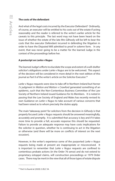#### **The costs of the defendant**

And what of the legal costs incurred by the Executor Defendant? Ordinarily, of course, an executor will be entitled to his costs out of the estate if acting reasonably and the reader is referred to the writer's earlier article for the caveats to this principle. The last word may not have been heard on the issue of whether the estate of the late Mrs Gilhooly will be left to bear the costs that the executor Defendant incurred in defending the litigation in order to have the Disputed Will admitted to proof in solemn form. In any event, that was never going to be a matter for the learned Judge in the context of the proceedings before her.

#### **A postscript on** *Larke v Nugus*

The learned Judge's efforts to elucidate the scope and extent of a will-drafter solicitor's obligations under *Larke* v *Nugus* are to be welcomed. This aspect of the decision will be considered in more detail in the next edition of this journal as Part II of the writer's article on the Solicitor Executor.<sup>54</sup>

*Larke* v *Nugus* requests were slow to take off in Northern Ireland but Horner J's judgment in *Watton and Watton* v *Crawford* generated something of an epidemic, such that the Non-Contentious Business Committee of the Law Society of Northern Ireland issued Guidance for its Members. It is noted in passing that the Law Society of England and Wales has recently revised its own Guidance on *Larke* v *Nugus* to take account of various concerns that had been raised as to whom precisely the duties apply.

The main 'takeaway point' for solicitors from the decision in *Gilhooly* is that properly focused *Larke* v *Nugus* requests should be answered meaningfully, accurately and promptly. It is submitted that accuracy is key and if it takes more time to provide a full, accurate response this should be requested. Failure to provide an adequate response may have costs implications for the solicitor in question, whether he is continuing to act in the litigation or otherwise (and there will be more on conflicts of interest on the next occasion).

However, in the writer's experience some of the purported *Larke* v *Nugus* requests being made at present are inappropriate or misconceived. It is important to remember that *Larke* v *Nugus* requests are confined to contentious probate actions (in the Order 76 sense) and do not extend to proprietary estoppel claims, will construction proceedings or 1979 Order cases. There may be merit in the view that all of those types of estate dispute

<sup>54</sup> Part I is found at (2020) 2 JELC 54.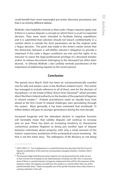could benefit from more meaningful pre-action discovery procedures, but that is an entirely different debate.

McBride J also helpfully reminds us that *Larke* v *Nugus* requests apply only if there is 'a serious dispute', a concept on which there is as yet no reported decision. They were never intended to facilitate fishing expeditions and it is submitted that solicitors should not breach confidentiality in a context which is outside the strict parameters set by the original *Larke* v *Nugus* decision. The point was made in the writer's earlier article that the distinction between a will-drafter solicitor's obligation to provide a statement if the *Larke* v *Nugus* conditions are met and the rights of an executor to waive the legal professional privilege of a deceased testator and/or to release documents belonging to the deceased has often been blurred. In *Gilhooly* McBride J also usefully reminds practitioners of the importance of addressing requests to the correct person.

#### **Conclusion**

The period since March 2020 has been an uncharacteristically eventful one for wills and estates cases in the Northern Ireland Courts. This article has managed to include reference to all of them, save for the decision of Humphreys J in the *Estate of Mary Teresa Toner Deceased*55 which provides direct Northern Ireland authority on the burden of the payment of legacies in solvent estates.<sup>56</sup> Probate practitioners await an equally busy time ahead as the first Covid-19 related challenges start percolating through the system. More generally, it has been estimated that worldwide 15 trillion dollars will pass to younger generations during the next decade.

Increased longevity and the attendant decline in cognitive function will inevitably mean that validity disputes will continue to increase year on year. There has been an increasing tendency to characterise contentious probate litigation as being just another type of dispute between individuals about property, with only a small remnant of the historic 'supervisory' jurisdiction of the ecclesiastical courts remaining. Yet that is not the entire story. The willingness of Ms McGarry to risk being

<sup>55 [2021]</sup> NICh 12. For completeness it is noted that there has also been the first Court of Appeal consideration of the doctrine of proprietary estoppel (*Graham v Graham* [2021] NICA 25).

<sup>&</sup>lt;sup>56</sup> The learned Judge held that pecuniary legacies are not governed by the order set out in Part II of the First Schedule to the Administration of Estates Act (NI) 1955. In practical terms if there is a partial intestacy ('property undisposed of by will' for the purposes of the statutory order), the legacies are paid from the residue as a whole rather than out of the partial intestate share. Debts are payable out of the partial intestate share unless there is a contrary intention in the will.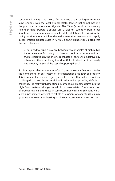condemned in High Court costs for the value of a £100 legacy from her aunt reminds even the most cynical estates lawyer that sometimes it is the principle that motivates litigants. The *Gilhooly* decision is a salutary reminder that probate disputes are a distinct category from other litigation. The remnant may be small, but it is still there. In reviewing the policy considerations which underlie the exceptions to costs which apply in contentious probate cases in *Kostic* v *Chaplin* Henderson J noted that the two rules were;

…designed to strike a balance between two principles of high public importance, the first being that 'parties should not be tempted into fruitless litigation by the knowledge that their costs will be defrayed by others', and the other being that 'doubtful wills should not pass easily into proof by reason of the cost of opposing them.<sup>57</sup>

If it is accepted that, as a matter of policy, testamentary freedom is to be the cornerstone of our system of intergenerational transfer of property, it is incumbent upon our legal system to ensure that wills are neither challenged too readily nor invalid wills admitted to proof by default of challenge. The reality is that foisting all contentious probate claims into the High Court makes challenge unrealistic in many estates. The introduction of procedures similar to those in some Commonwealth jurisdictions which allow a preliminary low-cost threshold assessment of capacity issues may go some way towards addressing an obvious lacuna in our succession law.

<sup>57</sup> *Kostic v Chaplin* [2007] EWHC 2909.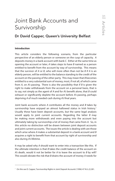# <span id="page-34-0"></span>Joint Bank Accounts and Survivorship

#### Dr David Capper, Queen's University Belfast

#### **Introduction**

This article considers the following scenario, from the particular perspective of an elderly person or someone on the cusp of capacity. *A* deposits money in a bank account with bank *C*. Either at the same time as opening the account or later, *A* takes steps to have *B* named as a person entitled to benefit from the account by way of survivorship. This means that the survivor of *A* or *B*, who will more often than not be *B* if *A* is an elderly person, will be entitled to the balance standing to the credit of the account on the passing of the other party. This may mean that *B* becomes entitled to a very substantial sum of money, most, if not all, of which came from *A*, on *A's* passing. There is also the possibility that if *B* is given the right to make withdrawals from the account on a personal basis, that is to say, not simply as the agent of *A* and for *A's* benefit alone, that *B* could exhaust or significantly deplete the account before *A's* passing, perhaps depriving *A* of much needed cash during *A's* final years.

Joint bank accounts where *A* contributes all the money and *B* takes by survivorship have enjoyed an almost hallowed status in Irish history.<sup>1</sup> Usually these have been deposit accounts, but the same legal analysis would apply to joint current accounts. Regarding the latter *B* may be making more withdrawals and even paying into the account but ultimately taking by survivorship a lot of money that came from *A*. So, in this article no distinction will be drawn between joint deposit accounts and joint current accounts. The issues the article is dealing with are those which arise where *A* makes a substantial deposit in a bank account and *B*  acquires a right to benefit from that account by right of survivorship and also during *A's* lifetime.

It may be asked why *A* should want to enter into a transaction like this. If the ultimate intention is that *B* takes the credit balance of the account on *A's* death, would it not be better for *A* to leave the account to *B* by will? This would obviate the risk that *B* drains the account of money *A* needs for

<sup>1</sup> On this see D. Capper, 'Survivorship Rights in Joint Deposit Accounts' (1996) 47 N.I.L.Q 281.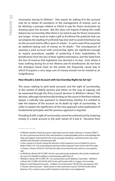necessaries during *A's* lifetime.2 One reason for adding *B* to the account may be to obtain *B's* assistance in the management of money, such as by allowing a younger relative or friend to pay for those necessaries by drawing upon the account. But this does not require *B* taking the credit balance by survivorship after there is no need to pay for those necessaries any longer. *A* may want to make a gift to *B* without the publicity that can accompany the reading of a will and may also wish to avoid inheritance tax on the account and its effect upon *A's* estate.3 In some cases *B* has acquired an eyebrow-raising sum of money on *A's* death.4 The consequences of opening a joint account with survivorship rights are significant enough to require procedures capable of protecting *A* from exploitation, *A's*  beneficiaries from the loss of their rightful inheritance, and the State from the loss of revenue that legislation has decreed is its due. Even where *A*  loses nothing during his or her lifetime and *A's* beneficiaries do not have the strongest moral claim on the estate, the frequently casual way in which *B* acquires a very large sum of money should not be treated as an insignificance.

#### **How Should a Joint Account with Survivorship Rights be Set Up?**

The issues relating to joint bank accounts and the right of survivorship, in the context of elderly persons and others on the cusp of capacity, will be examined through the Privy Council decision in Whitlock v Moree.<sup>5</sup> This decision, although not technically binding on the courts in Northern Ireland, adopts a radically new approach to determining whether *B* is entitled to take the balance of the account on *A's* death by right of survivorship. In order to explain the significance of this new approach some explanation of fundamental principles and the previous approach is required.

Providing *B* with a right of survivorship cannot be achieved just by *A* placing money in a bank account in the joint names of *A* and *B*. Decisions from

<sup>2</sup> A lifetime transfer of land at a grave undervalue was set aside in *Rooney v Conway* [1982] 5 N.I.J.B, in part because the 82-year-old transferor's understandable wish to acknowledge the help and support received from the much younger transferee, could have been met more satisfactorily through a testamentary gift.

<sup>3</sup> In this context it is worth noting the decision of the Supreme Court of Ireland in *Lynch v Burke* [1995] 2 I.R. 159, overruling the decision of the Supreme Court of the Irish Free State in *Owens v Greene* [1932] I.R. 225 that the right of survivorship was void as a nuncupative will.

<sup>4</sup> In *Whitlock v Moree* [2017] UKPC 44, the case extensively analysed in this article, B obtained the sum of \$190,000 in addition to testamentary gifts from A.

<sup>5</sup> *Whitlock v Moree* [2017] UKPC 44. For commentary see M. Baldock, 'Case Note – *Whitlock v Moree* [2017] UKPC 44' (2018) 24(5) Trusts and Trustees 456; D. Capper, 'Survivorship Rights in Joint Deposit Accounts – a Matter of Construction?' (2018) The Conveyancer 395; S. Hunter, 'Joint accounts – what's yours is mine and mine is yours?' (2018) Private Client Business 103, contains some useful material on the lower court judgments.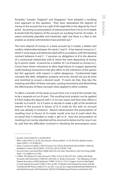Australia, $^6$  Canada, $^7$  England, $^8$  and Singapore, $^9$  have adopted a resulting trust approach to this question. They have rationalised the deposit of money in the account by *A* as a gift of the legal title to the deposit by *A* to *A*  and *B*. Assuming no presumption of advancement from *A* to *B*, on *A's* death *B* would hold the balance of the account on resulting trust for *A's* estate. It seems eminently plausible and intuitively right, but there is a flaw in the analysis as several commentators have pointed out.10

The mere deposit of money in a bank account by *A* creates a debtor and creditor relationship between the bank *C* and *A*. *A* has loaned money to *C*, which *C* must repay and otherwise deal with in accordance with the banking contract between *A* and *C*. *C* assumes no obligations to *B* in the absence of a contractual relationship with *B*, which the mere depositing of money by *A* cannot create. *B* cannot be a creditor of *C* as *B* loaned no money to *C*. Courts have shown reluctance to allow legal theory to scupper apparently useful banking transactions that give effect to the intentions of the parties but this approach, with respect, is rather dangerous. Fundamental legal concepts like debt, obligation, property and trust, should not just be bent and stretched to ensure a desired result. If courts do that, they blur the meaning and effect of these concepts, causing uncertainty and diminishing the effectiveness of these concepts when applied in other contexts.

To affect a transfer of the bank account from *A* to *A* and *B* the transfer has to be a separate act on *A's* part. The resulting trust analysis can be applied if *A* first makes the deposit with *C* in *A's* own name, and then later effects a transfer to *A* and *B*. So if *A* were to decide to make a gift of the beneficial interest in the account in favour of *B*, *A* could do this with an account that was already in existence. Absent advancement the presumption of resulting trust in favour of *A's* estate would arise but *B* could rebut this on proof that *A* intended to make a gift to *B*. How the presumption of resulting trust can be rebutted will be returned to below but for now it can be said that the difficulties involved in rebutting the presumption assist

<sup>6</sup> *Russell v Scott* [1936] 55 C.L.R 440 (HCA).

<sup>7</sup> *Niles v Lake* [1947] S.C.R 291 (SC); Pecore v Pecore [2007] 1 S.C.R 795 (SC); *Madsen Estate v Saylor* [2007] 1 S.C.R 838 (SC).

<sup>8</sup> *Aroso v Coutts & Co* [2002] 1 All E.R (Comm) 241 (Ch.D); *Re Northall* [2010] EWHC 1448 (Ch); *Drakeford v Cotton* [2012] EWHC 1414 (Ch), [2012] 3 All ER 1138.

<sup>9</sup> *Low Gim Siah v Low Geok Khim* [2006] SGCA 45; *Lim Chen Yeow Kelvin v Goh Chin Peng* [2008] SGHC 119, [2008] 4 S.L.R 783.

<sup>&</sup>lt;sup>10</sup> J. Willis, 'The Nature of a Joint Account' (1936) 14 Can. B. Rev 457; M.C. Cullity, 'Joint Bank Accounts with Volunteers' (1969) 85 L.Q.R 530; J.C. Brady, 'Succession – The Adequacy of Joint Deposit Accounts as Will Substitutes' (1990) 12 D.U.L.J 155; D. Capper, 'Survivorship Rights in Joint Deposit Accounts' (1996) 47 N.I.L.Q 281; U. Woods, 'Joint Deposit Accounts and the Conditional Gift Theory' (2002) 37 Ir. Jur 281; J. Lau Jia Jun, 'Legal and Beneficial Entitlement to Joint Bank Accounts with Volunteers' (2018) 33(3) Banking and Finance Law Review 345.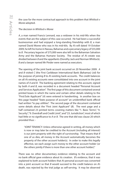the case for the more contractual approach to this problem that *Whitlock v Moree* adopted.

# The decision in *Whitlock v Moree*

*A*, a man named Francis Lennard, was a widower in his mid-90s when the events that are the subject of this case occurred. He had been a successful businessman and had enjoyed a long-standing friendship with *B*, a man named David Moree who was in his mid-60s. By *A's* will dated 19 October 2009, he left his home in Nassau, Bahamas and a pecuniary legacy of \$55,000 to *B*. Pecuniary legacies of \$75,000 were also left to the Bahamian Salvation Army and the Bahamas Humane Society. The residue of *A's* estate was divided between *B* and the appellants (Dorothy Jack and Norman Whitlock). *B* and a lawyer named Mr Pinder were named as executors.

The opening of the joint bank account occurred on 20 November 2009. *A*  and *B* visited *C* (the First Caribbean International Bank (Bahamas) Ltd) for the purpose of joining *B* to *A's* existing bank accounts. The credit balances on all *A's* existing accounts were consolidated into one account in the joint names of *A* and *B*. The banking agreement relating to this account, signed by both *A* and *B*, was recorded in a document headed "Personal Account and Services Application". The first page of this document contained several printed boxes in which the name and certain other details relating to the "First/Sole Applicant" (*A*) were entered in handwriting. In another box on this page headed "State purpose of account" an unidentified bank official had written "to pay utilities". The second page of the document contained some details about the "First Joint Applicant" (*B*). The next page and a half contained 23 printed terms covering matters like "1. Basic Terms", "4. Security", "9. Overdraft and Credit Limit", and "23. Jurisdiction", most of which had little or no significance to *A* or *B*. The one that did was clause 20 which provided thus: -

"JOINT TENANCY: Unless otherwise agreed in writing, all money which is now or may later be credited to the Account (including all interest) is our joint property with the right of survivorship. That means that if one of us dies, all money in the Account automatically becomes the property of the other account holder(s). In order to make this legally effective, we each assign such money to the other account holder (or the others jointly if there is more than one other account holder)."

There was no other documentary evidence relating to the account and no bank official gave evidence about its creation. *B's* evidence, that it was explained to both account holders that *A's* personal account was converted into a joint account so that *B* would succeed to the credit balance on *A's*  death, was rejected by the trial judge as self-serving. It may be observed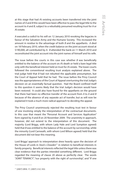at this stage that had *A's* existing accounts been transferred into the joint names of *A* and *B* this would have been effective to pass the legal title to the account to *A* and *B*, subject to a rebuttably presumed resulting trust for *A* or *A's* estate.

*A* executed a codicil to his will on 12 January 2010 revoking the legacies in favour of the Salvation Army and the Humane Society. This increased the amount in residue to the advantage of both *B* and the appellants. *A* died on 18 February 2010, when the credit balance on the joint account stood at \$190,000, all contributed by *A*. *B* attended the bank on 11 March 2010 and reconstituted the joint account into the joint names of himself and his wife.

The issue before the courts in this case was whether *B* was beneficially entitled to the balance of the account on *A's* death or held a bare legal title only with the beneficial interest held on trust for *A's* estate. The lower courts followed the conventional resulting trust analysis explained above. The trial judge held that *B* had not rebutted the applicable presumption, but the Court of Appeal held that he had. The issue before the Privy Council was the appropriateness of the Court of Appeal overturning the trial Judge's decision on an essentially factual question. Had the Board confined itself to this question it seems likely that the trial Judge's decision would have been restored. It could also have found for the appellants on the ground that there had been no effective transfer of the account from *A* to *A* and *B*  because of the absence of any separate act of transfer, but as will now be explained it took a much more radical approach to deciding the appeal.

The Privy Council unanimously rejected the resulting trust test in favour of one involving simply the interpretation of the contractual documents. In this case that meant the "Personal Account and Services Application" form signed by *A* and *B* on 20 November 2009. The unanimity in approach, however, did not extend to the interpretation of this document. The majority (Lord Briggs, with whom Lady Hale and Lord Sumption agreed) held that *B* was entitled to the balance of the account by survivorship, while the minority (Lord Carnwath, with whom Lord Wilson agreed) held that the document did not bear this meaning.

Lord Briggs' approach to interpretation drew heavily upon the decision of the House of Lords in *Stack v Dowden*11 in relation to beneficial interests in family property. Beneficial interests reflected the legal title unless there was clear evidence that the parties intended something different. Lord Briggs regarded the meaning of clause 20 above as perfectly clear. The words "JOINT TENANCY", "our property with the right of survivorship", and "if one

<sup>11</sup> [2007] UKHL 17, [2007] 2 A.C 432.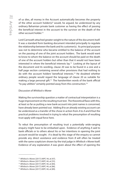of us dies, all money in the Account automatically becomes the property of the other account holder(s)" would, he argued, be understood by any ordinary Bahamian private bank customer as having the effect of passing the beneficial interest in the account to the survivor on the death of the other account holder.12

Lord Carnwath attached greater weight to the nature of the document itself. It was a standard form banking document intended principally to regulate the relationship between the bank and its customer(s). Its principal purpose was not to determine who became entitled to the balance of the account on the passing of one of the joint account holders. The bank would want to know to whom the balance on the account should be paid on the death of one of the account holders but other than that it would not have been interested in where the beneficial interests lay.13 Looking at the layout of the document and its wording, clause 20 was to be found in a one and a half page section containing several other provisions that had nothing to do with the account holders' beneficial interests.14 He doubted whether ordinary people would regard the language of clause 20 as suitable for making a large personal gift.<sup>15</sup> The handwritten words of the bank official "to pay utilities" certainly pointed away from this construction.16

#### Discussion of *Whitlock v Moree*

Making the survivorship question a matter of contractual interpretation is a huge improvement on the resulting trust test. The theoretical flaws with this, at least so far as putting a new bank account into joint names is concerned, have already been pointed out. Adding *B* to an already existing account can be understood as a transfer of the chose in action from *A* to *A* and *B* but the practical problems involved in trying to rebut the presumption of resulting trust apply with equal force here.

To rebut the presumption of resulting trust a potentially wide-ranging enquiry might have to be embarked upon. Evidence of anything *A* said to bank officials or to others about his or her intentions in opening the joint account would be sought. *A* is dead by this stage of the enquiry so cannot provide any direct assistance and evidence from *B* will often be treated with the same scepticism shown by the trial judge in *Whitlock v Moree* itself. Evidence of any explanation *A* was given about the effect of opening the

<sup>12</sup> *Whitlock v More*e [2017] UKPC 44, at [47].

<sup>13</sup> *Whitlock v Moree* [2017] UKPC 44, at [55].

<sup>14</sup> *Whitlock v Moree* [2017] UKPC 44, at [84].

<sup>15</sup> *Whitlock v Moree* [2017] UKPC 44, at [86].

<sup>16</sup> *Whitlock v Moree* [2017] UKPC 44, at [89].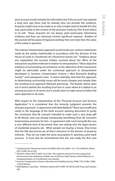joint account would certainly be informative but if the account was opened a long time ago there may be nobody who can provide this evidence. Enquiries might have to be made as to why *A* might want to benefit *B* in this way, particularly in the context of the provision made by *A* for *B* and others in *A's* will. These enquiries do not always yield particularly informative evidence and they can obviously involve significant expense. Readers of this journal will be aware of legal proceedings that cost more than the value of the estate in question.

The contract interpretation approach would render pre-contract statements made by the parties inadmissible in accordance with the decision of the House of Lords in *Chartbrook Ltd v Persimmon Homes Ltd*. 17 Evidence about any explanation the account holders received about the effect of the transaction would be irrelevant in relation to interpretation.18 More objective evidence of surrounding circumstances or the objectives of the transaction might be admissible under the contextual approach to interpretation developed in *Investors Compensation Scheme v West Bromwich Building Society*19 and subsequent cases. It seems tolerably clear that this approach to determining survivorship issues will be much cheaper and simpler than the resulting trust approach followed previously. The Board's advice does not in terms abolish the resulting trust test in cases where *B* is added to an existing account in *A's* name, but it would seem to make sense to follow the same approach in all cases.

With respect to the interpretation of the "Personal Account and Services Application" it is considered that the minority judgment presents the stronger argument. In agreement with Mark Baldock<sup>20</sup> there was insufficient clarity in the language of the bank account opening document to justify the conclusion that Mr Lennard intended to make such a very large gift to Mr Moree, who was already handsomely benefitting from Mr Lennard's testamentary provision for him. In agreement with Lord Carnwath this was a very different kind of document than one stating who the legal owners of residential property are. When people are buying a house, they know that the title documents are of direct relevance to the division of property interests. They do not make the same assumption in opening a joint bank account. It must also be remembered that this was really the first case

<sup>17</sup> *Chartbrook Ltd v Persimmon Homes Ltd* [2009] UKHL 38, [2009] 1 A.C 1101; *Whitlock v Moree*  [2017] UKPC 44, at [29].

<sup>&</sup>lt;sup>18</sup> Whitlock v Moree [2017] UKPC 44, at [30]. This might be relevant if it were argued that the document was vitiated by mistake, non est factum, fraud, duress, undue influence, or misrepresentation, or if rectification was claimed.

<sup>&</sup>lt;sup>19</sup> Investors Compensation Scheme v West Bromwich Building Society [1998] 1 W.L.R 896, [1998] 1 All E.R 98 (HL).

<sup>20</sup> Mark Baldock, 'Case Note – *Whitlock v Moree* [2017] UKPC 44' (2018) 24(5) Trusts and Trustees *456.*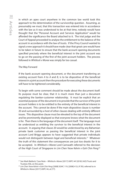in which an apex court anywhere in the common law world took this approach to the determination of the survivorship question. Assuming, as presumably we must, that this transaction was entered into in accordance with the law as it was understood to be at that time, nobody would have thought that the "Personal Account and Services Application" would be afforded the significance the Board attached to it. The trial judge and the Court of Appeal proceeded to analyse the entitlement to the balance of the account in accordance with the law of trusts. If the Privy Council wanted to signal a new approach it should have made clear that great care would have to be taken in future to ensure that the bank account opening documents specified precisely where the beneficial interest in the joint account was to go on the passing of the first of the joint account holders. The process followed in *Whitlock v Moree* was simply far too casual.

#### The Way Forward

If the bank account opening document, or the document transferring an existing account from *A* to *A* and *B*, is to be dispositive of the beneficial interest in a joint account then the procedure for executing these documents will have to be tightened considerably.

To begin with some comment should be made about the document itself. Its purpose must be clear, that it is much more than just a document regulating the banker-customer relationship. It must be explicit that an essential purpose of the document is to provide that the survivor of the joint account holders is to be entitled to the entirety of the beneficial interest in the account. This cannot be done if the main dispositive clause is number 20 and surrounded by a host of other clauses dealing with entirely different issues. This dispositive clause must be elevated to the top of the document and be prominently displayed so that everyone knows what the document is for. Then there is the language of the document itself. The language must be understood as entitling the survivor to the beneficial interest in the account. In arguing that clause 20 would be understood by any Bahamian private bank customer as passing the beneficial interest in the joint account Lord Briggs appears to have suggested that private individuals would not distinguish between legal and beneficial interests.<sup>21</sup> Whatever the truth of this statement the consequences are just too drastic for it to be accepted. In *Whitlock v Moree* Lord Carnwath referred to the decision of the High Court of Singapore in *Lim Chen Yeow Kelvin v Goh Chin Peng*<sup>22</sup>

<sup>21</sup> See Mark Baldock, 'Case Note – *Whitlock v Moree* [2017] UKPC 44' (2018) 24(5) Trusts and Trustees 456, on this point.

<sup>22</sup> *Lim Chen Yeow Kelvin v Goh Chin Peng* [2008] SGHC 119, [2008] 4 S.L.R 783, referred to in *Whitlock v Moree* [2017] UKPC 44, at [77].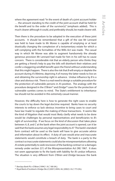where the agreement read: "In the event of death of a joint account holder … the amount standing to the credit of the joint account shall be held *for the benefit* and to the order of the survivor(s)" (emphasis added). This is much clearer although it could, and preferably should, be made clearer still.

Then there is the procedure to be adopted in the execution of these joint accounts. It should be remembered that a gift of the size Mr Lennard was held to have made to Mr Moree is capable of emptying or at least drastically changing the complexion of a testamentary estate for which a will complying with the formalities of the Wills Act was made. The casual way in which Mr Moree was able to augment handsomely the already generous provision Mr Lennard had made for him in his will has to cause concern. There is considerable risk that an elderly person who thinks they are getting a friend's help to pay the bills will disinherit their relatives and confer a staggering windfall benefit upon the friend without understanding that this might happen. There is also the risk that *B* will empty or deplete the account during *A's* lifetime, depriving *A* of money the latter needs to live on and obtaining the survivorship right in advance. Undue influence by *B* is a clear and obvious risk. There is a real need to design a suitable procedure for the protection of vulnerable persons in *A's* position. The analogy with the procedure designed in the *O'Brien*<sup>23</sup> and *Etridge*<sup>24</sup> cases for the protection of vulnerable sureties comes to mind. The State's entitlement to inheritance tax should not be avoided in this extremely casual manner.

However, the difficulty here is how to generate the right cases to enable the courts to lay down the legal doctrine required. Banks have no security interests to enforce so lack obvious incentive to bring cases to court and have law 'made' to regulate the making of these transactions. It seems like the kind of litigation that would most likely clarify what needs to be done would be challenges by personal representatives and beneficiaries to *B's*  right of survivorship. If we focus on the kind of discussion that takes place between *A*, *B*, and *C* at the bank when the joint account is opened, can it be said that the bank assumes any legal responsibility to *A*? The bank's standard form contract will be used so the bank will have to give accurate advice and information about its effect. A duty of care would arise and inaccurate statements would constitute a breach of duty. The bank is a party to the contract so inaccurate statements could also be misrepresentations allowing *A's* estate potentially to seek rescission of the banking contract or a damages remedy under section 2(1) of the Misrepresentation Act (NI) 1967. It does not seem appropriate to fix the bank with liability for *B's* undue influence. The situation is very different from *O'Brien* and *Etridge* because the bank

<sup>23</sup> *Barclays Bank Plc v O'Brien* [1994] 1 A.C 180 (HL).

<sup>24</sup> *Royal Bank of Scotland v Etridge (No 2)* [2001] UKHL 44, [2002] 2 A.C 773 (HL).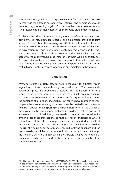derives no benefit, such as a mortgage or charge, from the transaction. So, to challenge the gift to *B*, personal representatives and beneficiaries would have to bring proceedings against *B* to require the latter to re-transfer any sums received from the joint account on the ground of *B's* undue influence.25

To obviate the risk of misunderstanding about the effect of the transaction being entered into, a detailed record of the explanation provided to joint account holders about the meaning and effect of the transaction they are executing would be needed. Banks were reluctant to provide this kind of explanation in *O'Brien* and *Etridge* suretyship transactions, so the task was farmed out to solicitors. If this were to be the practice for joint bank accounts, the cost involved in opening one of them would definitely rise. But less is at stake here for banks than in suretyship transactions so it may be that they would be willing to assume this responsibility, passing on the cost in higher banking charges for opening and maintaining the account.

# **Conclusion**

*Whitlock v Moree* is a useful step forward in the quest for a better way of regulating joint accounts with a right of survivorship. The theoretically flawed and practically problematic resulting trust framework of analysis seems to be on the way out. Treating these bank account opening documents as contracts is a much more satisfactory way of ascertaining the existence of a right of survivorship. But for this new approach to work properly the account opening document must be drafted in such a way as to make it obvious that disposing of the beneficial interest in the balance of the account on the death of one joint account holder is what the document is intended to do. In addition, there needs to be a proper procedure for entering into these transactions, so that everybody understands what is being done and the risk of a younger person acquiring a windfall benefit at the expense of the deceased's testate or intestate beneficiaries is avoided. The risk of *A* being deprived of money needed for living expenses and the casual avoidance of inheritance tax should also be borne in mind. Although the law is in a better place than where it was before *Whitlock v Moree*, much work remains to be done to address the new problems this generally helpful decision gives rise to.

<sup>25</sup> In this connection see *Hammond v Osborn* [2002] EWCA Civ 885 where an elderly pensioner first allowed the defendant to make withdrawals from his bank account to buy necessaries for him and then signed over the account to her. His personal representatives succeeded in requiring the defendant to return the money on the ground of undue influence.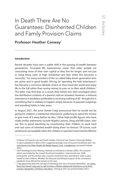# In Death There Are No Guarantees: Disinherited Children and Family Provision Claims

# Professor Heather Conway\*

#### **Introduction**

Recent decades have seen a subtle shift in the passing of wealth between generations. Increased life expectancies mean that older people are consuming more of their own capital as they live for longer, and not just in rising living costs or high residential care fees when this becomes a necessity.<sup>1</sup> For many members of the so-called baby-boom generation who are active and in good health, SKI-ing (or 'spending the kids' inheritance') has become a conscious lifestyle choice as they travel the world and enjoy life to the full rather than saving money to pass on to their adult children.<sup>2</sup> The latter may find that, as a result, they inherit less than envisaged when the distributive contents of a parent's will are revealed. However, a reduced inheritance is doubtless preferable to receiving nothing at all - though this is something that is unlikely to happen simply because of parental outgoings and spending habits in later years.

In August 2021, the actor Daniel Craig announced that he would not be giving his children a substantial inheritance, preferring to spend his money or give most of it away before he dies.<sup>3</sup> Other high-profile figures who have made similar statements include Nigella Lawson, Sting and Bill Gates, who see this as good parenting by incentivising their children to work hard and vast sums of inherited wealth doing them 'no favours'. Of course, such sentiments are laudable when the children in question have had the lifetime

<sup>\*</sup> Professor of Property Law and Death Studies, School of Law, Queen's University Belfast.

<sup>1</sup>  [A report published in March 2021 suggested average costs of around £35,](https://www.laingbuisson.com/)000 per year- see Care Homes For Older People UK Market Report 31ed - LaingBuisson (accessed October 2021).

<sup>2</sup> See K Rowlingson and S Mackay, *Attitudes to Inheritance in Britain* (2005). The researchwhich was funded by the Joseph Rowntree Foundation- interviewed over 2,000 participants, and found that only a quarter would limit their spending in order to pass wealth to their children. Whether the financial and lifestyle impacts of the coronavirus pandemic have altered this remains to be seen.

<sup>&</sup>lt;sup>3</sup> Craig apparently finds the concept of inheriting vast sums of money 'distasteful'- see James [Bond star Daniel Craig says he will not leave children substantial inheritance as he finds](https://news.sky.com/story/james-bond-star-daniel-craig-says-he-will-not-leave-children-substantial-inheritance-as-he-finds-practice-distasteful-12384357)  practice 'distasteful' | UK News | Sky News, 18 August 2021 (accessed October 2021).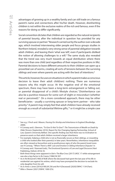advantages of growing up in a wealthy family and can still trade on a famous parent's name and connections after his/her death. However, disinheriting children is not within the exclusive realms of the rich and famous, even if the reasons for doing so differ significantly.

Social convention dictates that children are regarded as the natural recipients of parental bounty, after the individual in question has provided for any surviving spouse or partner.<sup>4</sup> Research carried out by the author over a decade ago, which involved interviewing older people and focus groups studies in Northern Ireland, revealed a very strong sense of parental obligation towards adult children, and leaving them 'what was left', even if participants disliked the notion of allowing challenges to a will.<sup>5</sup> The same study also revealed that the trend was very much towards an equal distribution where there was more than one child (and regardless of their respective positions in life). Parental decisions to leave different amounts to their children can open up a proverbial can of worms, creating all sorts of tensions between the surviving siblings and even where parents are acting with the best of intentions.<sup>6</sup>

This article, however, focuses on situations in which a parent makes a conscious decision to leave their adult child(ren) nothing. There are numerous reasons why this might occur. At the negative end of the emotional spectrum, there may have been a long-term estrangement or falling out, or parental disapproval of a child's lifestyle choices.7 Disinheritance can also be a punitive measure for some sort of slight or misconduct (whether real or perceived).<sup>8</sup> On a more considered approach, there may be other beneficiaries - usually a surviving spouse or long-term partner - who take priority.9 A parent may simply feel that adult children have already received enough as a result of substantial lifetime gifts,<sup>10</sup> or it might be a simple case

<sup>4</sup> See e.g. J Finch and J Mason, *Passing On: Kinship and Inheritance in England* (Routledge, 2000).

<sup>5</sup> H Conway and L Glennon, *"To Give Or Not To Give?": The Transmission of Wealth on Death by Older Persons* (September 2010), Report for the Changing Ageing Partnership, School of Law, Queen's University Belfast. One specific finding was that there was no inclination to preserve assets so that adult children received a larger inheritance.

<sup>6</sup> For example, helping a child who is not as financially secure as their siblings, or rewarding a child who looked after their parent(s) in later years. Nevertheless, inheritance inequalities are often viewed as favouritism and as posthumous signs of who the parent loved moresee H Conway, *"'Where There's a Will': Law and Emotion in Sibling Inheritance Disputes"* in H Conway and J Stannard (eds), *The Emotional Dynamics of Law and Legal Discourse* (Hart Publishing, Oxford, 2016) 35.

<sup>7</sup> Both these things were apparent in *Ilott v The Blue Cross* [2017] UKSC 17 while estrangement was also a key factor in *Re Creeny* [1984] NI 397.

<sup>&</sup>lt;sup>8</sup> As in *Re McGarrell* [1983] 8 NIJB where the deceased had spent the last year of his life in residential care against his wishes, which may have prompted the decision to exclude his only daughter from his will.

<sup>9</sup> As in *Ames v Jones* [2016] 8 WLUK 256 and *Re H (Deceased)* [2020] EWHC 1134 (Fam).

<sup>10</sup> *Miles v Shearer* [2021] EWHC 1000 (Ch).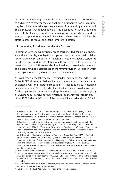of the testator wanting their wealth to go somewhere else (for example, to a charity).<sup>11</sup> Whatever the explanation, a disinherited son or daughter may be minded to challenge their exclusion from a validly executed will. The discussion that follows looks at the likelihood of such wills being successfully challenged under the family provision jurisdiction, and the advice that practitioners should give clients when drafting a will to this effect in order to reduce the scope for future litigation.

# **I. Testamentary Freedom versus Family Provision**

In common law systems, any reference to a 'disinherited' child is a misnomer since there is no legal obligation for parents to provide for their children (or for anyone else) on death. Testamentary freedom<sup>12</sup> allows a testator to decide the post-mortem fate of their wealth and to pass it to persons of the testator's choosing.<sup>13</sup> However, absolute freedom of testation is something of a legal myth, not least because of the family provision jurisdiction which contemplates claims against a deceased person's estate.

As is well-known, the Inheritance (Provision for Family and Dependants) (NI) Order 197914 allows specified relatives and dependants of the deceased to challenge a will (or intestacy distribution)<sup>15</sup> if it failed to make "reasonable financial provision"16 for that particular individual - defined as what is needed for the applicant's "maintenance" in all applications, except those brought by a surviving spouse or civil partner.<sup>17</sup> Potential claimants<sup>18</sup> are listed in art 3(1) of the 1979 Order, with "a child of the deceased" included under art  $3(1)(c)^{19}$ 

<sup>11</sup> As in *Ilott v The Blue Cross* [2017] UKSC 17 though a desire for charitable giving was not the primary motivation! Practical matters to be addressed when dealing with charitable bequests are set out in S Grattan, "Charities as Beneficiaries and Elementary Duties" [2017] 1 *Folio: Northern Ireland Conveyancing and Land Law Journal* 19.

 $12$  Defined by Leslie as the "right to distribute property upon death solely according to the dictates of one's own desires, unfettered by the constraints of society's moral code or the claims of others"- M Leslie, "The Myth of Testamentary Freedom" (1996) 38 *Ariz L Rev* 235, 235.

<sup>&</sup>lt;sup>13</sup> The use of the term 'testator' is gender neutral throughout this article, unless the facts of a particular judgment indicate otherwise.

<sup>&</sup>lt;sup>14</sup> Modelled on the Inheritance (Provision for Family and Dependants) Act 1975 in England and Wales. For an overview, see G Douglas, "Family Provision and Family Practices – The Discretionary Regime of the Inheritance Act of England and Wales" (2014) 4 *Oñati Socio-Legal* 

*Series* and R Hedlund, "The End to Testamentary Freedom" (2020) 41 *Legal Studies* 55. 15 The focus here is on challenges to wills, and the extent to which the testator's intent can be overridden by the courts.

<sup>&</sup>lt;sup>16</sup> The basis of all claims under the relevant legislation- 1975 Act, s 1(1); 1979 Order, art 3(1).

<sup>17 1975</sup> Act, ss 1(2)(a)-(aa) and 1979 Order, art 2(2) for a surviving spouse or civil partner. For all other categories of claimant, see the 1975 Act, s 1(2)(b) and 1979 Order, art 2(2). The concept of 'maintenance' is not defined in the statute and has instead been discussed in the case lawsee below.

<sup>&</sup>lt;sup>18</sup> While 'claimant' is the more usual term today, the word 'applicant' appears in the legislation and both will be used interchangeably here.

<sup>19</sup> Section 1(1) of the 1975 Act, and s 1(1)(c) for a child of the deceased.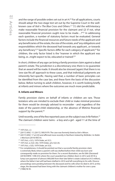and the range of possible orders set out in art 4.<sup>20</sup> For all applications, courts should adopt the two-stage test set out by the Supreme Court in the wellknown case of *Ilott v The Blue Cross and Others*: 21 "(1) did the will/intestacy make reasonable financial provision for the claimant and (2) if not, what reasonable financial provision ought now to be made...?"<sup>22</sup> In addressing each question, a number of statutory factors must be evaluated. General factors include the financial resources and future needs of the applicant and any beneficiaries of the estate, the size of the estate, and "any obligations and responsibilities which the deceased had towards any applicant...or towards any beneficiary".<sup>23</sup> Specific factors differ for each category of applicant;<sup>24</sup> for children, the only factor listed is the "manner in which the applicant was being, or...might expect to be, educated or trained".<sup>25</sup>

In short, children of any age can bring a family provision claim against a dead parent's estate. The jurisdiction is a discretionary one; there is no guarantee that an award will be made. It should also be stressed (again) that there is no 'one size fits all' approach to these cases, and that individual judgments are inherently fact-specific. Having said that, a number of basic principles can be identified from the case law, and these form the basis of the discussion below. Before turning to adult children, however, it is worth looking briefly at infants and minors where the outcomes are much more predictable.

#### **II. Infants and Minors**

Family provision claims on behalf of infants or children are rare. Those testators who are minded to exclude their child or make minimal provision for them would be strongly advised to reconsider - and regardless of the state of the parent-child relationship, or the absence of lifetime financial support by the parent. $26$ 

Until recently, one of the few reported cases on the subject was *In Re Patton*. 27 The claimant children were twins - a boy and a girl - aged 11 at the time of

<sup>20 1975</sup> Act, s 2.

<sup>21 [2017]</sup> UKSC 17; [2017] 2 WLR 979. The case was formerly listed as *Ilott v Mitson*.

<sup>22 [2017]</sup> UKSC 17 at [23] and affirmed more recently in Northern Ireland by McBride J in *Noble v Morrison* [2019] NICh 8.

<sup>23</sup> 1975 Act, s 3(1); 1979 Order, art 5(1).

<sup>24</sup> 1975 Act, ss 3(2)–(4)); 1979 Order, arts 5(2)-(4).

<sup>25</sup> 1975 Act, s 3(3); 1979 Order, art 5(3).

<sup>&</sup>lt;sup>26</sup> For completeness, it should be pointed out that a successful family provision claim is extremely likely where a parent's will was drafted before their child was born and consequently made no provision for them. For a recent illustration, see *Re Ubbi (Deceased)*  [2018] EWHC 1396 (Ch) where the court awarded two children (born in 2012 and 2014) a lump sum payment of almost £400,000 from their late father's estate (valued at £4.5 million), where the father's last will had been drafted in 2010 and left everything to his wife. Divorce proceedings were pending between the deceased and his wife when he died in 2015; at this stage, the deceased had been living with the claimant children's mother for over a year.

<sup>27 [1986]</sup> NI 45.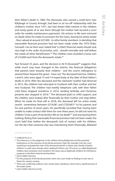their father's death in 1984. The deceased, who owned a small farm near Killyleagh in County Armagh, had been in an 'on-off' relationship with the children's mother since 1971, but had shown little interest in the children and rarely spoke of or saw them (though the mother had secured a court order for weekly maintenance payments). His actions in life were mirrored on death when he made no provision for the twins, leaving his entire estate - then valued at around £47,000 - to other family members. In deciding that reasonable financial provision had not been made under the 1979 Order, Carswell J (as he then was) stated that "a child's financial needs should rank very high in the order of priorities, and…should normally rank well before the needs of other beneficiaries".<sup>28</sup> The children were awarded a lump sum of £10,000 each from the deceased's estate.<sup>29</sup>

Fast forward 35 years, and the decision in *Re R (Deceased)*30 suggests that, while much may have changed in the interim, the financial obligations that parents have towards their children - and the court's willingness to extend these 'beyond the grave' - have not. The deceased had two children, J and H, who were aged 15 and 14 respectively at the date of their father's death in 2018. After the deceased and the claimants' mother had divorced in 2012, the children had relocated to Scotland with their mother and her new husband. The children had weekly telephone calls with their father until these stopped sometime in 2014; sending birthday and Christmas presents also stopped in 2016.<sup>31</sup> The deceased paid no child support, and the children were looked after financially by their mother and step-father. When he made his final will in 2018, the deceased left his entire estate (worth somewhere between £519,081 and  $£720,481$ <sup>32</sup> to his parents and his new partner of seven years. He specifically recorded that, having been unable to make contact with them for over three years, he did not want his children "to be a part of my family's life on my death"33 and was leaving them nothing. Ruling that reasonable financial provision had not been made, the court held that neither the deceased's lack of contact with his children, nor the fact that someone else was maintaining them financially, defeated

<sup>28 [1986]</sup> NI 45 at 51.

<sup>&</sup>lt;sup>29</sup> The references, in the judgment, to the children being illegitimate and the potential implications on the outcome of any family provision claim (for example, how the court would have evaluated the claim if the deceased had left "a widow and a family of lawful children" as well) seem strange when reading *Re Patton* now. Of course, so-called illegitimate children have long been since treated in the same way as legitimate children for inheritance purposes in Northern Ireland and elsewhere.

<sup>30 [2021]</sup> EWHC 936 (Ch).

<sup>&</sup>lt;sup>31</sup> For the purposes of the family provision claim, the court made no finding on who was to blame for contact ceasing.

<sup>&</sup>lt;sup>32</sup> There was conflicting evidence over certain share valuations, which were a significant part of the estate assets.

<sup>33</sup> [2021] EWHC 936 (Ch) at [33].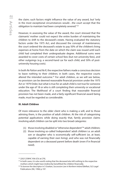the claim; such factors might influence the value of any award, but "only in the most exceptional circumstances would…the court accept that the obligation to maintain had been completely severed." 34

However, in assessing the value of the award, the court stressed that the claimants' mother could not expect the entire burden of maintaining the children to shift to the deceased's estate. Having evaluated the statutory factors under the 1975 Act, and discussed the concept of maintenance, the court ordered the deceased's estate to pay 50% of the children's living expenses at home from the date on which the claim was issued until each child had completed their undergraduate degree. Additional sums were awarded to cover costs of certain school fees (but not university fees), and other outgoings (e.g. a second-hand car for each child, and 50% of postuniversity housing costs).

In both *Re Patton* and *Re R*, the respective fathers made a conscious decision to leave nothing to their children; in both cases, the respective courts altered the intended outcome.<sup>35</sup> For adult children, as we will see below, no provision can be deemed reasonable financial provision under the 1975 Act or 1979 Order, but what is true for an adult child is not true for someone under the age of 18 or who is still completing their university or vocational education. The likelihood of a court finding that reasonable financial provision has not been made, and a fairly significant financial award being made, must be regarded as considerable.

# **III. Adult Children**

Of more relevance to the older client who is making a will, and to those advising them, is the position of adult children. At the risk of categorising potential applications while doing exactly that, family provision claims involving adult children can be split into two broad categories:

- (1) those involving disabled or "otherwise dependent"36 adult children;
- (2) those involving so-called 'independent' adult children i.e. an adult son or daughter who is economically self-sufficient (or, at least, capable of earning their own living), and who was not financially dependent on a deceased parent before death (even if in financial need).

<sup>34</sup> [2021] EWHC 936 (Ch) at [79].

<sup>&</sup>lt;sup>35</sup> In both cases, it is also worth noting that the deceased also left nothing to the respective mothers which might have (indirectly) benefitted the children financially.

<sup>36</sup> To borrow the descriptor in S Grattan, *Succession Law in Northern Ireland* (Belfast, SLS Legal Publications (NI), 1996) p 197.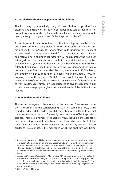# **1. Disabled or Otherwise Dependent Adult Children**

The first category is relatively straightforward. Failure to provide for a disabled adult child<sup>37</sup> or an otherwise dependent son or daughter (for example, one who was being financially maintained by their parent prior to death) is likely to trigger a successful family provision claim.<sup>38</sup>

A recent case which seems to sit more within this category than the second one discussed immediately below is *Re H (Deceased)*39 though the court did not use the term 'disability' at any stage in its judgment. The claimant, a 50-year-old daughter who suffered from a debilitating mental illness, had received nothing under her father's will. The daughter, who had been estranged from her parents, was unable to support herself and her two children; her 80-year-old mother was the sole beneficiary of the £554,000 estate but had severe health problems and was worried about the cost of residential care. The court awarded the daughter almost £140,000, basing the amount on her current financial needs (which included £17,000 for ongoing costs of therapy and £32,000 to compensate for loss of universal credit because of the award) and assisting her recovery to facilitate a return to work in a few years' time. However, it refused to give the daughter a sum to purchase a new property, given the financial needs of the mother for her lifetime.

# **2. Independent Adult Children**

This second category is the more troublesome one. Over 40 years after the 1979 Order (and the corresponding 1975 Act) came into force, claims by independent adult children are still contentious and difficult to predict; they are also one of the most frequently occurring types of family provision dispute. There are a number of reasons for this, including the absence of any pre-existing financial tie between parent and child and the fact that such claims are limited to maintenance. The lack of any *specific* statutory guidance is also an issue: the manner in which the applicant was being/

<sup>&</sup>lt;sup>37</sup> Something that seems unlikely since one assumes that most parents would be at pains to ensure that a disabled child's financial needs were taken care of. The aforementioned decade-old research carried out here in Northern Ireland (see n 5 above) supports this, with parents of disabled children determined to provide future care for their child and to look at who would be remunerated for undertaking this responsibility on the parent's death.

<sup>38</sup> See e.g. *Re Debenham (Deceased)* [1986] Fam Law 101 (successful family provision claim by the deceased's 58-year-old daughter, who was physically disabled, had epilepsy and had been left a very small sum in her father's will (the father had rejected his daughter's efforts to establish a relationship with him)). Contrast this with *Wright v Waters* [2014] EWHC 3614 (Ch) at n 48 below.

<sup>39 [2020]</sup> EWHC 1134 (Fam).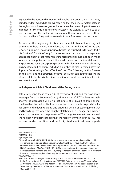expected to be educated or trained will not be relevant in the vast majority of independent adult child claims, meaning that the general factors listed in the legislation will assume greater importance. And according to the recent judgment of McBride J in *Noble v Morrison*, 40 the weight attached to each one depends on the factual circumstances, though one or two of these factors could have "magnetic or even decisive influence on the outcome".

As noted at the beginning of this article, parental disinheritance may not be the norm here in Northern Ireland, but it is not unheard of. In the two reported judgments dealing specifically with the issue back in the early 1980s - *Re McGarrell*41 and *Re Creeny*<sup>42</sup> *-* the courts ruled in favour of the respective applicants, finding that reasonable financial provision had not been made for an adult daughter and an adult son who were both in financial need.<sup>43</sup> English courts have, unsurprisingly, dealt with a larger volume of claims by disinherited adult children, including a number of cases decided after the Supreme Court ruling in *Ilott v The Blue Cross*. 44 The following section focuses on the latter and the 'direction of travel' post-*Ilott*, something that will be of interest to both private client practitioners and the Judiciary here in Northern Ireland.

# **(a) Independent Adult Children and the Ruling in** *Ilott*

Before reviewing these cases, a brief overview of *Ilott* and the 'take-away' messages from the Supreme Court judgment is useful.<sup>45</sup> The facts are wellknown: the deceased's will left a net estate of £486,000 to three animal charities that she had no lifetime connection to, and made no provision for her only child following a long and enduring period of estrangement that had been triggered when the daughter left home as a teenager and married a man that her mother disapproved of. The daughter was in financial need: she had not worked since the birth of the first of her five children in 1983, her husband worked part-time, and the family lived in a 3-bedroom property

<sup>40 [2019]</sup> NICh 8 at [51].

<sup>41 [1983] 8</sup> NIJB.

<sup>42</sup> [1984] NI 397.

<sup>43</sup> In *Moffatt v Moffatt* [2016] NICh 17 the issue was whether an excluded adult child could get permission to bring a late application, while other NI cases have dealt with siblings contesting how much they received under a parent's will (see *McKernan v McKernan* [2007] NICh 6 and *Noble v Morrison* [2019] NICh 8). The number of reported judgments is not an accurate yardstick for legal challenges by independent adult children - both here in Northern Ireland and elsewhere - given that many family provision claims will settle.

<sup>44</sup> [2017] UKSC 17.

<sup>45</sup> For a more detailed analysis see H Conway, "Adult Children and Family Provision Claims in the Supreme Court: The Saga Concludes" [2017] 2 *Folio: Northern Ireland Conveyancing and Property Law Journal* 45 and B Sloan, "*Ilott v The Blue Cross* (2017): Testing the Limits of Testamentary Freedom" in B Sloan (ed), *Landmark Cases in Succession Law* (Hart Publishing, Oxford, 2019) 301.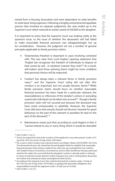rented from a Housing Association and were dependent on state benefits to meet basic living expenses. Following a lengthy and protracted appellate process that involved six separate judgments, the case ended up in the Supreme Court which restored an earlier award of £50,000 to the daughter.

It is important to stress that the Supreme Court was looking solely at the quantum issue, so the issue of whether the deceased's will had failed to make reasonable financial provision was (disappointingly) not up for consideration. However, the judgment set out a number of general principles applicable to family provision claims:

- Testamentary freedom is important in cases involving contested wills. This was clear from Lord Hughes' opening statement that "English law recognises the freedom of individuals to dispose of their assets by will...in whatever manner they wish".<sup>46</sup> As a result, will-makers (and those advising them) might be more confident that personal choices will be respected.
- Conduct has always been a relevant factor in family provision cases, $47$  and the Supreme Court ruling did not alter this: conduct is an important, but not usually decisive, factor.<sup>48</sup> While family provision claims should focus on whether reasonable financial provision has been made for a particular claimant, the reasonableness or otherwise of the testator's actions in excluding a particular individual can be taken into account<sup>49</sup> - though a family provision claim will not succeed just because the deceased may have acted unreasonably or spitefully. However, the Supreme Court did stress that awards should not become "rewards for good behaviour on the part of the claimant or penalties for bad on the part of the deceased". 50
- • Maintenance means just that; according to Lord Hughes in *Ilott*, it "cannot extend to any or every thing which it would be desirable

<sup>46</sup> [2017] UKSC 17 at [1].

<sup>&</sup>lt;sup>47</sup> Courts are required to look at the "conduct of the applicant or any other person" under s 3(1) (g) of the 1975 Act and art 5(1)(g) of the 1979 Order.

<sup>48</sup> For a case in which conduct was a decisive factor, see *Wright v Waters* [2014] EWHC 3614 (Ch). The deceased's 64-year-old, wheelchair-bound daughter failed to establish that reasonable financial provision had not been made for her when she was excluded from her mother's will. Despite living in necessitous circumstances, and no other beneficiary having a particular need for the estate, the court held that the daughter's conduct a decade earlier in refusing to return investment monies that her mother had given her, and in writing letters disowning her mother and wishing her dead, outweighed all other factors.

<sup>49</sup> According to the Supreme Court, this could be factored into conduct under s 3(1)(g) of the 1975 Act (art 5(1)(g) of the 1979 Order), or perhaps the deceased's obligations and responsibilities towards the applicant under s 3(1)(d) (our art 5(1)(d)).

<sup>50 [2017]</sup> UKSC 17 at [17].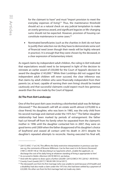for the claimant to have" and must "import provision to meet the everyday expenses of living".<sup>51</sup> Thus, the maintenance threshold should act as a natural check on any judicial temptation to make an overly generous award, and significant legacies or life-changing sums should not be expected. However, provision of housing can constitute maintenance in some cases.52

• Nominated beneficiaries (such as the charities in *Ilott*) do not have to justify their selection nor do they have to demonstrate some sort of financial need (even though their needs will be highly relevant in practice). It is enough that they were chosen by the deceased, in a clear expression of testamentary intent.

As regard claims by independent adult children, the ruling in *Ilott* indicated that expectations would need to be tempered in light of the decision to reinstate an earlier award of £50,000 for the Court of Appeal's decision to award the daughter £143,000.<sup>53</sup> While their Lordships did not suggest that independent adult children will *never* succeed, the clear inference was that claims by adult children who were financially independent from their parents (or, at least, capable of earning their own living) should be treated cautiously and that successful claimants could expect much less generous awards than the one made by the Court of Appeal.

# **(b) The Post-***Ilott* **Landscape**

One of the first post-*Ilott* cases involving a disinherited adult was *Re Nahajec (Deceased)*. 54 The deceased's will left an estate worth almost £270,000 to a close friend; his daughter, who was born in 1985, was the only child from his second marriage and claimed under the 1975 Act.<sup>55</sup> The father-daughter relationship had been marked by periods of estrangement: the father had cut himself off from his family when he separated from the claimant's mother in 1996 until the daughter contacted him in 2007; they were on good terms until 2009 when the father disapproved of his daughter's choice of boyfriend and ceased all contact until his death in 2015 despite his daughter's repeated attempts to reconcile. Having executed his final will,

<sup>51 [2017]</sup> UKSC 17 at [14]. This affirms the fairly restrictive interpretation in previous case lawsee e.g. the comments of Browne-Wilkinson J (as he then was) in In *Re Dennis (Deceased)*  [1981] 2 All ER 140 at 146 describing it as "payments which...enable the applicant...to discharge the cost of his daily living at whatever standing of living is appropriate to him".

<sup>52</sup> As occurred in *Noble v Morrison* [2019] NICh 8- see below.

 $53$  And with the option to draw upon a further £20,000- [2015] EWCA 797; [2016] 1 All ER 932.

<sup>54</sup> County Court (Leeds) [2017] 7 WLUK 399 (18 Jul 2017).

<sup>&</sup>lt;sup>55</sup> The deceased's son from his first marriage (who was unable to work because of ill-health and a disability) had also made a claim under the 1975 Act; this had been settled by a payment of £22,000. His other son from his first marriage had not made any claim.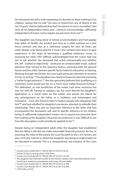the deceased also left a note explaining his decision to leave nothing to his children, stating that he had "not seen or heard from any of [them] in the last 18 years", that he believed they had "no interest in me or my welfare" and were all "of independent means and…[were] to my knowledge, sufficiently independent of means not to require any provision from me".<sup>56</sup>

The daughter was living alone in rented accommodation and had payday loan debts of £6,600; she worked part-time as a retail assistant on a zero hours contract and also at a veterinary surgery for over 20 hours per week despite only being paid for 9 hours (she worked extra hours to gain experience, in the hope of becoming a qualified veterinary nurse). In assessing her claim, HHJ Saffman acknowledged that the court's task was not to ask whether the deceased had acted unreasonably but whether the will - looked at objectively - produced an unreasonable result. Judicial attention then turned to the statutory factors, assessing both the general factors and the child-claimant specific factor linked to education or training. Working through the former, the court paid particular attention to sections  $3(1)(a)$ , (c) and (q).<sup>57</sup> The daughter was clearly in financial need and was living a "rather frugal existence";<sup>58</sup> she also genuinely believed that qualifying as a veterinary nurse would put her on a much more stable financial footing.<sup>59</sup> The defendant, as sole beneficiary of the estate, had some resources but was not well off. Turning to category (g), the court likened the daughter's application to a moral claim on the estate, and placed the blame for any estrangement on the father as a "stubborn and intransigent and insensitive…man who found it hard to forgive people who disagreed with him"<sup>60</sup> and had rebuffed his daughter's numerous attempts to rekindle their relationship. There was also an important reference to the letter that had accompanied the deceased's will, and its specific reference to his children being of sufficiently independent means not to require any provision from him; looking at the daughter's financial circumstances, it was "difficult to see how this description could sensibly be applied to her".<sup>61</sup>

Despite being an independent adult child, the daughter had established that her father's will did not make reasonable financial provision for her. In assessing the value of the award, the court focused on the s 3(1) factors, but also s 3(3) (the manner in which the daughter was being or might expect to be educated or trained). This is a comparatively rare instance of the court

<sup>56</sup> County Court (Leeds) [2017] 7 WLUK 399 (18 Jul 2017) at [4].

 $57$  Articles  $5(1)(a)$ , (c) and (q) of the 1979 Order.

<sup>58</sup> County Court (Leeds) [2017] 7 WLUK 399 (18 Jul 2017) at [35].

 $59$  The daughter had inherited £16,000 on her mother's death in 2013 but had used this to set herself up in rented accommodation and to pay off some debts.

<sup>60</sup> County Court (Leeds) [2017] 7 WLUK 399 (18 Jul 2017) at [59].

<sup>61</sup> County Court (Leeds) [2017] 7 WLUK 399 (18 Jul 2017) at [60].

<sup>62 1979</sup> Order, art 5(3).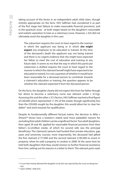taking account of this factor in an independent adult child claim, though entirely appropriate on the facts. HHJ Saffman had considered it as part of the first stage test (failure to make reasonable financial provision), and in the quantum issue - at both stages based on the daughter's reasonable and realistic aspiration to train as a veterinary nurse. However, s 3(3) did not ultimately assist the daughter in this case:

The subsection requires the court to have regard to the manner in which the applicant was being or in which **she might expect** (my emphasis) to be educated or trained. At the time of the deceased's death the applicant was not being trained and there is no cogent evidence that she might have expected her father to meet the cost of education and training at any future date. It seems to me that the way in which this particular subsection is drafted requires the court to have regard to the manner in which the claimant herself might have expected to be educated or trained. It is not a question of whether it would have been reasonable for a deceased person to contribute towards a claimant's education or training, the question appears to be whether the claimant expected it from the deceased person.

On the facts, the daughter clearly did not expect this from her father though her desire to become a veterinary nurse was relevant under s 3(1)(g). Assessing this and the other s 3(1) factors, HHJ Saffman reached a final figure of £30,000 which represented 11.3% of the estate; though significantly less than the £59,000 sought by the daughter, this would allow her to clear her debts<sup>63</sup> and work towards her qualification.

Despite its fundamentally different factual matrix, the decision in *Miles v Shearer*64 shows how a testator's stated (and more palatable) reasons for excluding their adult children can be a significant factor. Two adult daughters, then aged 39 and 40, applied for reasonable financial provision from their father's £2.2million estate, of which his second wife was the principal beneficiary. The claimants' parents had funded their private education, gap years and university courses; more importantly, the deceased had gifted the first claimant £177,000 and the second claimant £185,000 to invest in property, when he sold a property in London in 2008. At the same time he told both daughters that they would receive no further financial assistance from him, setting out his reasons in a letter to them. The relevant parts read:

 $63$  A sum that merely allowed the daughter to do this was rejected by the court as being too low.

<sup>64 [2021]</sup> EWHC 1000 (Ch).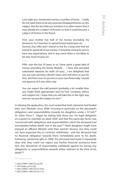Last night you mentioned money a number of times…I really do not want there to be any surprises/disappointments on this subject. But the fact that you mention it so often means that it may already be a subject of friction, or that it could become a subject of friction in the future.

First, your mother has half of my money (including my pensions). So I have less to spend/invest/waste/pass on. Second, [my wife] and I intend to live for a long time and we intend to spend all of our money. It would be wrong for you to have any expectations, and in any event there is not likely to be very much to pass on.

……

Fifth, over the last 35 years or so I have spent a great deal of money providing the family lifestyle … I have also provided substantial deposits for both [of you]…I am delighted that you are now earning a decent salary and well done to you for that. But from now on you are on your own financially. I would not approve of it any other way.

You can expect the odd present (probably a lot smaller than you might think appropriate) and my love, company, advice and support etc. I hope that you will take this in the right way and we can put this subject to rest.<sup>65</sup>

In refusing the application, the court noted that both claimants had funded their own lifestyles since 2008. Focusing in particular on the deceased's obligations and responsibilities towards his daughters under s  $3(1)(d)$ ,<sup>66</sup> Sir Julian Flaux C began by stating that there was "no legal obligation on a parent to maintain an adult child" and that this particular factor was "concerned with obligations and responsibilities which the deceased had immediately before death, not in the past".<sup>67</sup> Both daughters might have enjoyed an affluent lifestyle until their parents' divorce, but they could not have expected this to continue indefinitely - and the deceased had no financial obligation towards them immediately prior to his death. Following substantial gifts in 2008, the deceased had made it repeatedly clear that they could not expect any further financial assistance from him; this "disclaimer of responsibility militate[d] against his having any obligations or responsibilities towards either claimant at the time of his death".68

<sup>65 [2021]</sup> EWHC 1000 (Ch) at [25].

<sup>66</sup> 1979 Order, art 5(1)(d).

<sup>67</sup> [2021] EWHC 1000 (Ch) at [102].

<sup>68</sup> [2021] EWHC 1000 (Ch) at [111].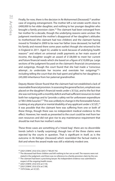Finally, for now, there is the decision in *Re Mohammed (Deceased),*69 another case of ongoing estrangement. The mother left a net estate worth close to £400,000 to her elder daughter, and nothing to her younger daughter who brought a family provision claim.<sup>70</sup> The claimant had been estranged from her mother for a decade, though the underlying reasons were unclear: the judgment mentioned the mother's disapproval of her daughter's attitudes to motherhood (the claimant had two children) and the claimant having moved to Trinidad in 2009 to be near her father (now deceased, he had left his family and moved there some years earlier) though she returned to live in England in 2011. Aged 52, unable to work because of underlying health reasons<sup>71</sup> and reliant on universal credit payments as her main source of income, the daughter sought an award of £128,000 to meet her current and future financial needs which she based on a figure of £10,000 pa. Large sections of the judgment focused on the claimant's financial circumstances and outgoings, though the court found that she had made a "conscious attempt…to understate her income and overstate her outgoings"72 including telling the court that she had spent and gifted to her daughters a £45,000 inheritance from her paternal grandmother.

Deputy Master Glover found that the claimant had not established a lack of reasonable financial provision. In assessing the general factors, emphasis was placed on the daughter's financial needs under s 3(1)(a), and to the fact that she was not living with a monthly deficit and had sufficient resources to meet both her outgoings and to "provide a safety net for unforeseen expenditure or 'life's little luxuries'".73 This was unlikely to change in the foreseeable future. Looking at any physical or mental disability of any applicant under s  $3(1)(f)<sup>74</sup>$ it was possible that the claimant here was suffering from one or both of these things, though there was no independent medical evidence to this effect. However, her needs as presented to the court could be met from her own resources and did not give rise to any maintenance requirement that should be met from her mother's estate.

These three cases are something of a 'mixed bag': there are no discernible trends (which is hardly surprising), though two of the three claims were rejected by the courts in question. That is significant in itself, as is the outcome in *Re Nahajec (Deceased)* which resembled the factual matrix in *Ilott* and where the award made was still a relatively modest one.

<sup>69 [2021]</sup> EWHC 2532 (Ch); [2021] 7 WLUK 742.

 $70$  The deceased had three children and left nothing to her son as well. The reasons were not stated in the judgment, and there was no reference to a family provision claim by the son.

 $71$  The claimant had been a practising lawyer. No independent evidence was submitted in respect of the ongoing health issues.

<sup>72 [2021]</sup> EWHC 2532 (Ch) at [110].

<sup>73</sup> [2021] EWHC 2532 (Ch) at [138].

<sup>74</sup> 1979 Order, art 5(1)(f).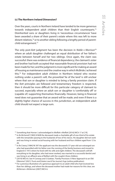# **(c) The Northern Ireland Dimension?**

Over the years, courts in Northern Ireland have tended to be more generous towards independent adult children than their English counterparts.<sup>75</sup> Disinherited sons or daughters living in 'necessitous circumstances' have been awarded a share of their parent's estate where this was left to more distant relatives, $76$  or to another sibling following a lengthy period of parentchild estrangement.77

The only post-*Ilott* judgment has been the decision in *Noble v Morrison*<sup>78</sup> where an adult daughter challenged an equal distribution of her father's estate between herself and her two siblings. Once again, the claim was successful: there was evidence of financial dependency; the claimant's sister and brother had both accepted that reasonable financial provision had not been made for her; and the judgment is more significant for making an award of housing as maintenance and the creative way in which McBride J achieved this.79 For independent adult children in Northern Ireland who receive nothing under a parent's will, the proverbial 'lie of the land' is still unclear where that son or daughter is minded to bring a family provision claim. If the *Ilott* principles are followed and testamentary freedom is respected, then it should be more difficult for this particular category of claimant to succeed, especially where an adult son or daughter is 'comfortably off' or (capable of) supporting themselves financially. However, being in financial need does not guarantee that an award will be made; and even if there is a slightly higher chance of success in this jurisdiction, an independent adult child should not expect a large sum.

<sup>75</sup> Something that Horner J acknowledged in *Moffatt v Moffatt* [2016] NICh 17 at [19].

<sup>76</sup> In *Re McGarrell* [1983] 8 NIJB the deceased made a charitable gift of one-third of his estate with the remainder passing to the husbands of two of his nieces. His daughter did not work and was living in rented social housing with her husband and four children aged from 12 to  $20<sub>2</sub>$ 

<sup>77</sup> In *Re Creeny* [1984] NI 397 the applicant was the deceased's 57-year-old son estranged son who had quarrelled with his father over the running of the family business and moved to England in 1972 where he lived with his wife and eight children. The deceased's will left everything to his daughter, who had never worked, was married to a successful dentist and was living in an affluent area of Belfast with the couple's three children.

<sup>78 [2019]</sup> NICh 8. See H Conway and S Grattan, "Family Provision: A New Approach to an Old

Dilemma" (2021) *Trusts and Estates Law & Tax Journal*, 8 pp (online publication). 79 For a previous illustration of a generous approach to an adult child who had received less than her siblings, and where the deceased mother had made her reasons for this clear, see *McKernan v McKernan* [2007] NICh 6.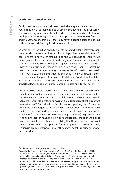#### **Conclusion: It's Good to Talk…?**

Family provision claims are likely to succeed where a parent leaves nothing to young children, or to their disabled or otherwise dependent adult offspring. Claims involving independent adult children are very unpredictable, though the Supreme Court ruling in *Ilott* with its emphasis on testamentary freedom and maintenance meaning just that, may have tipped the balance in favour of those who are defending the deceased's will.

So what advice should be given to older testators who, for whatever reason, have decided to leave nothing to their independent adult child(ren)? Of course, there is no way of safeguarding the will against potential future claims, just as there is no way of predicting what the final outcome would be if an aggrieved son or daughter applied under the 1975 Act or 1979 Order. Setting out clear reasons for a decision to 'disinherit' is something that should be encouraged, though these must be informed and accurately reflect key factual elements such as the child's financial circumstances, previous financial support from parent to child etc. Conduct will be taken into account, and estrangement or relationship breakdown can be an important factor as can one party's unrequited attempts to reconcile.<sup>80</sup>

Two final points are also worth bearing in mind. First, while no provision can constitute reasonable financial provision, the testator might nevertheless consider leaving a small legacy to the child(ren) in question, which would then be factored into any family provision claim (alongside all other relevant circumstances).81 Second, where families are on 'speaking terms', testators should be encouraged to have difficult conversations with their adult children in advance and to explain their reasons for passing their assets elsewhere. Of course, testators (and especially older ones) may be reluctant to do this, for fear of rows, rejection or relentless pressure to change one's mind. However, there is always a possibility that these conversations might have a salving effect and prevent future litigation that exposes family tensions in a public setting, dissipates the estate and takes a huge emotional toll on all sides.

<sup>80</sup> In this respect, *Re Nahajec* contrasts sharply with *Ilott*.

<sup>81</sup> A useful illustration is *Wellesley v Earl of Cowley* [2019] EWHC 11 (Ch) where the £20,000 that the deceased left his daughter from an estate valued at £1.31 million was deemed reasonable financial provision, in light of the daughter's 30-year estrangement from her father, his disapproval of her consumption of alcohol and drugs and the fact that the daughter could have worked had she sought the necessary support for her ADHD. The court also rejected the daughter's argument that any claim should be assessed on the basis of a percentage value of the estate; this was an inappropriate marker and something that would undermine testamentary freedom.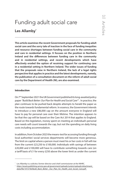# Funding adult social care Les Allamby<sup>\*</sup>

**This article examines the recent Government proposals for funding adult social care and the sorry tale of inaction in the face of funding inequities and resource shortages between funding social care in the community and care in residential settings. It focuses on the position in Northern Ireland and the differences between funding care in the community and in residential settings, and recent developments which have effectively eroded the option of receiving support for continuing care in a residential setting in Northern Ireland. The wider issues of funding that the proposals raise in Northern Ireland, the lack of a legal rights perspective that applies in practice and the latest developments, namely, the publication of a consultation document on the reform of adult social care by the Department of Health (NI), are also examined.**

#### **Introduction**

On 7<sup>th</sup> September 2021 the UK Government published its long-awaited policy paper *"Build Back Better: Our Plan for Health and Social Care"*<sup>1</sup> *.* In practice, the plan continues to be pushed back despite attempts to herald the paper as the route towards fundamental reform. In essence, the Government intends to introduce a new £86,000 cap on the amount everyone in England will have to pay for personal care over their lifetime. The intention appears to be that the cap will be based on the Care Act 2014 that applies to England. Based on this legislation, money spent on meeting an individual's personal care needs will count towards the cap, but not the spending on daily living costs including accommodation.

In addition, from October 2023 the means-test for accessing funding through local authorities' social services departments will become more generous. The limit on capital where a person must meet his or her costs in full will rise from the current £23,250 to £100,000. Individuals with savings of between £20,000 and £100,000 will have to contribute something towards care (on a tariff basis of £1 for every £250 above the lower limit as under the current

<sup>\*</sup> Les Allamby is a solicitor, former director and chief commissioner at the NIHRC.

<sup>1</sup> *[https://assets.publishing.service.gov.uk/government/uploads/system/uploads/attachment\\_](https://assets.publishing.service.gov.uk/government/uploads/system/uploads/attachment_data/file/1015736/Build_Back_Better-_Our_Plan_for_Health_and_Social_Care.pdf) data/file/1015736/Build\_Back\_Better-\_Our\_Plan\_for\_Health\_and\_Social\_Care.pdf* .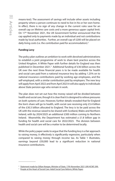means-test). The assessment of savings will include other assets including property where a person continues to need to live in his or her own home. In effect, there is no sign of any change in the current rules save for an overall cap on lifetime care costs and a more generous upper capital limit. On 17th November 2021, the UK Government further announced that the cap applied only to payments made by an individual and not contributions made by local authorities. Further, an overall cap of £200 will be placed on daily living costs (i.e. the contribution paid for accommodation).<sup>2</sup>

# **Funding Levy**

The policy plan outlines an ambition to work with devolved administrations to establish a joint programme of work to share best practice across the United Kingdom. A White Paper with further details for England was then published in December 2021.<sup>3</sup> Additional funding of £36 billion across the UK over the next three financial years is to be made available for health and social care paid from a national insurance levy by adding 1.25% on to national insurance contributions paid by working age employees, and the self-employed, with a similar contribution paid by employers. The new levy will apply from April 2022 and from April 2023 it will also apply to individuals above State pension age who remain in work.

The plan does not set out how the money raised will be divided between health and social care, though it is clear that it is designed to relieve pressures on both systems of care. However, further details revealed that for England the lion's share will go to health, with social care receiving only £5.4 billion of the £30.3 billion allocated to England. The levy is to be paid across the UK with the revenue raised to be shared with Scotland, Wales and Northern Ireland, with by 2024/2025 an additional £300 million coming to Northern Ireland. Meanwhile, the Department has estimated a £1.8 billion gap in funding for health and social care for 2022/2023. The division between health and social care will be a matter to be determined locally.

While the policy paper seeks to argue that the funding levy is a fair approach to raising money, it effectively is significantly regressive, particularly when compared to raising money through income tax. As Table 1 illustrates, earnings beyond £50,000 lead to a significant reduction in national insurance contributions.

<sup>&</sup>lt;sup>2</sup> [Statement made by Gillian Keegan, Minister of State, 17th November 2021 UIN HCWS 399.](https://questions-statements.parliament.uk/written-statements/detail/2021-11-17/hcws399)

<sup>&</sup>lt;sup>3</sup> [People at the Heart of Social Care: Adult Social Care Reform, White Paper.](https://www.gov.uk/government/publications/people-at-the-heart-of-care-adult-social-care-reform-white-paper/people-at-the-heart-of-care-adult-social-care-reform)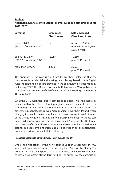# **Table 1: National Insurance contributions for employees and self-employed for 2022/2023**

| <b>Earnings</b>                                | <b>Employees</b><br><b>Class 1 rates</b> | Self-employed<br><b>Class 2 and 4 rates</b>                   |
|------------------------------------------------|------------------------------------------|---------------------------------------------------------------|
| Under £9,880<br>(£12,570 from 6 July 2022)     | nil                                      | nil (up to $£6,725)$<br>from £6,725 - £11,908<br>£3.15 a week |
| £9,880 - £50,270<br>(£12,570 from 6 July 2022) | 13.25%                                   | 10.25%<br>plus £3.15 a week                                   |
| More than £50,270                              | 3.25%                                    | 3.25%<br>plus £3.15 a week                                    |

The approach in the plan is significant for Northern Ireland in that the means-test for residential and nursing care is largely based on the English rules though funding of care provided in the community diverges radically. In January 2022, the Minister for Health, Robin Swann MLA, published a consultation document *"Reform of Adult Social Care"* seeking comments by 18<sup>th</sup> May 2022.<sup>4</sup>

What the UK Government policy plan failed to address was the inequities created within the different funding regimes created for social care in the community and for care in a residential or nursing care home setting. The difference in approaches is even more marked in Northern Ireland where charging for care in the community is much less prevalent than in the rest of the United Kingdom. This has led to "perverse incentives" to choose care based on financial exigencies rather than on need. Alongside this, the longer term need to effectively finance both care in the community and residential settings as people live longer remains just out of reach despite a significant number of reviews both in Britain and locally.

# **Previous attempts at funding reform across the UK**

One of the first actions of the newly formed Labour Government in 1997 was to set up a Royal Commission on Long Term Care for the Elderly. The Commission was the response to the Labour Party manifesto commitment to devise a fair system of long-term funding. The purpose of the Commission

<sup>4</sup>  [Reform of Adult Social Care. Department of Health \(NI\) Consultation Document, 26th](https://www.health-ni.gov.uk/sites/default/files/consultations/health/doh-rasc-consultation-document.pdf)  January 2022.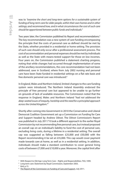was to *"examine the short and long-term options for a sustainable system of funding of long-term care for older people, within their own homes and in other settings; and recommend how, and in what circumstances the cost of such care should be apportioned between public funds and individuals."*

Two years later, the Commission published its Report and recommendations.<sup>5</sup> The key recommendation was a new system of care funding encompassing the principle that the costs of personal care as defined should be met by the State, whether provided in a residential or home setting. The provision of such care should only occur after a professional assessment process. The cost of accommodation and personal expenses should be met by individuals as well as the State with means-tested support for those on low incomes. Four years on, the Commission published a statement charting progress, noting that while changes had occurred through implementation of some of the ancillary recommendations, the core recommendation had not been addressed, save in Scotland, where from July 2002 nursing and personal care have been State funded in residential settings on a flat rate basis and free domestic personal care was introduced.<sup>6</sup>

In England, Wales and Northern Ireland, limited changes to the care funding system were introduced. The Northern Ireland Assembly endorsed the principle of free personal care but appeared to be unable to go further on grounds of lack of available resources. The Commission noted that the response in England, Wales and Northern Ireland "*had not addressed the deep-seated issues of inequity, hardship and the need for a principled approach across the United Kingdom."7*

Shortly after coming into Government in 2010 the Conservative and Liberal Democrat Coalition Government set up a Commission on Funding for Care and Support headed by Andrew Dilnot. The Dilnot Commission's Report was published in July 2011.<sup>8</sup> It took a different approach to the earlier Royal Commission by not recommending free personal care, but instead proposed an overall cap on an individual's liability to fund the cost of personal care, excluding living costs, during a lifetime in a residential setting. The overall cap was suggested as falling between £25,000 and £50,000 with the Report recommending it be set at £35,000. This cap would cover payment made towards care at home, as well as in a residential setting. In addition, individuals should make a standard contribution to cover general living costs of between £7,000 and £10,000 a year. Moreover, the capital limit after

<sup>&</sup>lt;sup>5</sup> With Respect to Old Age: Long Term Care – Rights and Responsibilities. TSO, 1999.

<sup>6</sup> Long term care: Statement by Royal Commission, September 2003.

 $<sup>7</sup>$  lbid, p.15.</sup>

<sup>&</sup>lt;sup>8</sup> [The Report of the Commission on Funding of Care and Support, July 2011.](https://webarchive.nationalarchives.gov.uk/ukgwa/20130221121529mp_/https:/www.wp.dh.gov.uk/carecommission/files/2011/07/Fairer-Care-Funding-Report.pdf)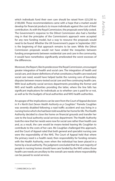which individuals fund their own care should be raised from £23,250 to £100,000. These recommendations came with a hope that a market would develop for financial products to insure individuals against the cost of their contribution. As with the Royal Commission, the proposals were fully costed. The Government's response to the Dilnot Commission also had a familiar ring in that the principles of the Commission's approach were accepted for any new funding model, but a way to resource the proposals would need to be found. Whether the UK Government's paper in September 2021 is the beginning of that approach remains to be seen. While the Dilnot Commission proposals would not have ended the inequities between funding arrangements between residential care and care in the community, it would have nonetheless significantly ameliorated the worst excesses of the differences.

Moreover, the Report, like its predecessor the Royal Commission, encouraged greater integration of health and social care. The integration of health and social care, and clearer definitions of what constitutes a health care need and social care need, would have helped tackle the running sore of boundary disputes between means-tested social care and free continuing health care. With local authority social services departments providing the former and NHS and health authorities providing the latter, where the line falls has significant implications for individuals as to whether care is paid for or not, as well as for the budgets of local authorities and NHS health authorities.

An apogee of the implications can be seen from the Court of Appeal decision in *R v North East Devon Health Authority ex p Coughlan*. 9 Pamela Coughlan was severely disabled following a road traffic accident and was living in a nursing home which she had been told would be her home for life. The Health Authority decided to close the home on financial grounds and transfer her care to the local authority social services department. The Health Authority took the view that her needs were now for social care rather than health care and, as a result, the care would be means-tested leaving Ms Coughlan to contribute to the costs of her care. Ms Coughlan challenged this approach, and the Court of Appeal ruled that both general and specialist nursing care were the responsibility of the NHS. The Court of Appeal held that where the primary need is a health need, then responsibility for funding remains with the Health Authority, even when the individual has been placed in a home by a local authority. The judgment concluded that the vast majority of people in nursing homes should have care funded by the NHS unless those health care needs are ancillary to the overall care needs where responsibility can be passed to social services.

<sup>9</sup> [1999] EWCA Civ 1871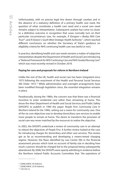Unfortunately, with no precise legal line drawn through caselaw and in the absence of a statutory definition of a primary health care need, the question of what constitutes a health care need and a social care need remains subject to interpretation. Subsequent caselaw has come no closer to a definitive outcome in recognition that cases normally turn on their particular circumstances (see, for example, *R (Grogan) v Bexley NHS Care Trust<sup>10</sup>*, and *R* (*Green*) *v* South West Strategic Health Authority<sup>11</sup>, which reached different conclusions on whether the Secretary of State's guidance on eligibility criteria for NHS continuing health care was lawful or not.)

In practice, identifying health and care needs remains a matter of subjective interpretation despite the Department of Health and Social Care introducing a "*National Framework for NHS Continuing Care and NHS-funded Nursing Care*" which was most recently revised in October 2018.

# **Paying for care and proposals for reform in Northern Ireland**

Unlike the rest of the UK, health and social care has been integrated since 1973 following the enactment of the Health and Personal Social Services (NI) Order 1972.12 While administrative and oversight arrangements have been modified through legislation since, the essential integration remains in place.

Paradoxically, during the 1980s, the concern was that there was a financial incentive to enter residential care rather than remaining at home. This drove the-then Department of Health and Social Services and Public Safety (DHSSPS) to publish in 1990 the paper *People First: Community Care in Northern Ireland for the 1990s*, setting out a vision for community care. One of the six core objectives was to develop domiciliary care services to enable more people to remain at home. The desire to transform the provision of social care was never matched by the resources to realise the objective.

In 2002, the DHSSPS undertook a review of community care in an attempt to reboot the objectives of *People First*. A further review looked at the case for introducing charges for domiciliary and other care services. This review got as far as recommending and developing a means-tested charging regime. However, the flaws identified by Law Centre (NI) in the financial assessment process which took no account of family size in deciding how much a person should be charged led to the proposal being subsequently abandoned. By 2008, the DHSSPS were openly admitting in evidence before the Northern Ireland Public Accounts Committee that *"the aspirations of* 

<sup>10 [2006]</sup> EWHC 44 (Admin).

<sup>11 [2008]</sup> EWHC 2576 (Admin).

<sup>12 1972</sup> NI 14.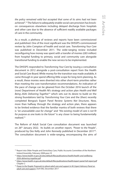*the policy remained valid but accepted that some of its aims had not been achieved"*. 13 The failure to adequately enable social care provision has knockon consequences elsewhere including delayed discharge from hospitals and other care due to the absence of sufficient readily available packages of care in the community.

As a result, a plethora of reviews and reports have been commissioned and published. One of the most significant was the DHSSPS-commissioned review by John Compton of health and social care. *Transforming Your Care*  was published in December 2011. The wide-ranging review included reconfiguring how money was spent with a transfer of monies (£83 million) from hospital funding to primary, social and community care alongside transitional funding to enable the new service to be implemented.

The DHSSPS responded to *Transforming Your Care* by issuing a consultative document in 2012 alongside a post-consultation report from the Health and Social Care Board. While money for the transition was made available, it came through in-year spend offering little scope for long-term planning. As a result, these monies were diverted into other short-term priorities rather than meeting the core transformation recommendations. An indication of the pace of change can be gleaned from the October 2016 launch of the (now) Department of Health NI's strategy and action plan *Health and Well Being 2026: Delivering Together*14 which sets out its desire to build on the strong foundations laid by *Transforming Your Care* and the (then) recently completed Bengoa's Expert Panel Review *Systems Not Structures.* Now, more than halfway through the strategy and action plan, there appears to be limited evidence that the familiar mantra of both reviews that there is *"an unassailable case for change"* and *"the existing model of care is not fit for purpose as one looks to the future"* is any closer to being fundamentally realised.15

The Reform of Adult Social Care consultation document was launched on 26th January 2022. Its builds on another report, *"Power to the People"*, produced by Des Kelly and John Kennedy published in December 2017<sup>16</sup>. The consultation document is wide-ranging, encompassing the aims of

<sup>&</sup>lt;sup>13</sup> Report into Older People and Domiciliary Care, Public Accounts Committee of the Northern Ireland Assembly. February 2008 para.10

<sup>&</sup>lt;sup>14</sup> [https://www.health-ni.gov.uk/sites/default/files/publications/health/health-and-wellbeing-](https://www.health-ni.gov.uk/sites/default/files/publications/health/health-and-wellbeing-2026-delivering-together.pdf)*2026-delivering-together.pdf*

<sup>15</sup> *<https://www.health-ni.gov.uk/sites/default/files/publications/health/expert-panel-full-report.pdf>* Chapter 2

<sup>&</sup>lt;sup>16</sup> Power to the People: Proposals to reboot adult care and support in NI. Expert Advisory Panel on *adult care and support*, DoH (NI), December 2017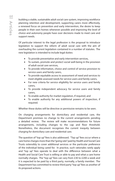building a stable, sustainable adult social care system, improving workforce planning retention and development, supporting carers more effectively, a renewed focus on prevention and early intervention, the desire to keep people in their own homes whenever possible and improving the level of choice and autonomy people have over decisions made to meet care and support needs.

Of particular interest to the legal profession is the proposal to introduce legislation to support the reform of adult social care with the aim of overhauling the current legislation contained in a number of statutes. The new legislation is intended to include legal duties:

- To provide preventative and early intervention services,
- To sustain, promote and protect social well-being in the provision of adult social care services,
- To provide information, choice and control of service provision to service users and family carers,
- To provide equitable access to assessment of need and services to meet eligible assessed needs for service users and family carers,
- For new criteria for service eligibility for service users and family carers,
- To provide independent advocacy for service users and family carers,
- To enable authority for market regulation, if required, and
- To enable authority for any additional powers of inspection, if required.

Whether these duties will be directive or permissive remains to be seen.

On charging arrangements for domiciliary and residential care, the Department promises no change to the current arrangements pending a detailed review. The review will make recommendations for future arrangements, including changes to the cap and floor threshold. Nonetheless, the document recognises the current inequity between charging for domiciliary care and residential care.

The question of "top up" fees is also addressed. "Top up" fees occur where a care home charges more than the "going rate" paid by Health and Social Care Trusts ostensibly to cover additional services or the particular preference of the individual being cared for. In practice, such rationales rarely apply and "top up" fees operate to deal with the difference between what a Health and Social Care Trust is willing or able to pay and what a care home normally charges. The "top up" fees can vary from £30 to £200 a week and it is expected to be paid by a third party, normally, a family member. The Department has committed to review third party "top up" fees as another of its proposed actions.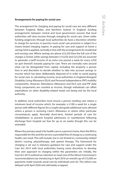# **Arrangements for paying for social care**

The arrangement for charging and paying for social care are very different between England, Wales, and Northern Ireland. In England, funding arrangements between central and local government assume that local authorities will raise income through charging for social care. Given wider funding exigencies (though local authorities do have a discretion whether to charge for services), in practice most social care provision is subject to a means-tested charging regime. In paying for care and support at home a savings limit is applied, normally in line with the arrangements for residential and nursing care. Where savings are above £23,250 then the full cost of the charges is levied, while savings between £14,250 and £23,250 are assumed to generate a tariff income of an extra one pound a week for every £250 (or part thereof) towards paying for care. There are normally rules around what can be disregarded from capital, including the property a person lives in and discretion to decide whether to take into account savings or income which has been deliberately disposed of in order to avoid paying for social care. In calculating income, local authorities in England disregard Disability Living Allowance (DLA) and Personal Independence (PIP) mobility components. However, Attendance Allowance and DLA care and PIP daily living components are counted as income, though individuals can offset expenditure on other disability-related needs not being met by the local authority.

In addition, local authorities must ensure a person needing care retains a minimum level of income which, for example, is £189 a week for a single person with different figures for a couple alongside additional sums allowed where a person is receiving Carer's Allowance or where other particular circumstances apply. Normally short-term, limited periods of care for rehabilitation to prevent hospital admissions or resettlement following discharge from hospital are free for up to six weeks though this can be extended.

Where the primary need is for health care in a person's home, then the NHS is responsible for this and the service is provided free of charge as a continuing health care need. This will include, but is not limited to, community-related district nursing, physiotherapy, and speech therapy. The framework for charging is set out in statutory guidance for care and support under the Care Act 2014 with local authorities having some discretion to develop their own approach to charging within the parameters set. Initially, the Care Act 2014 outlined an intention to meet one of the Dilnot Commission's recommendations by introducing in April 2016 an overall cap of £72,000 on payments made towards social care by individuals over 65. This reform was delayed until April 2020 and ultimately scrapped.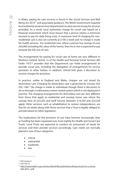In Wales, paying for care services is found in the Social Services and Well Being Act 201417 and associated guidance. The Welsh Government required local authority social services departments to raise income to pay for services provided. As a result, local authorities charge for social care based on a financial assessment which must ensure that a person retains a minimum amount to pay for daily living costs. A maximum limit of charging for nonresidential care is also set currently at £100 a week and no charge is made for health services. For residential care, where a person has savings of over £50,000 (including the value of the home), then he or she is expected to pay towards the full cost of care.

The arrangements for paying for social care at home are very different in Northern Ireland. Article 15 of the Health and Personal Social Services (NI) Order 1972<sup>18</sup> provides that the Department can make arrangements to provide social care, including the delegation of arrangements for service provision to other bodies. In addition, Article15(4) gives a discretion to recover charges for provision.

In practice, unlike in England and Wales, charges are not levied for domiciliary care. Charging for domiciliary care is governed by Circular HSS (SS) 1/80.19 No charge is made to individuals though there is discretion to do so through a rudimentary means-tested system which is not deployed in practice. The charging arrangements for domiciliary care are very different from those that apply to residential and nursing home care where the savings limit of £23,250 and tariff income between £14,250 and £23,250 apply. Other services, such as rehabilitation to restore independence, are free for six weeks along with those services that a Trust is legally obliged to provide based on other legislation.

The implications for the provision of care have become increasingly clear as funding has been squeezed ever more tightly for Health and Social Care Trusts. Local Trusts are expected to conduct an assessment of needs for services and then provide services accordingly. Care needs are normally placed in one of four categories:

- • critical
- • substantial
- • moderate
- • low

<sup>17</sup> 2014 anaw 4.

<sup>18 1972</sup> NI 14.

<sup>19</sup> *[https://www.health-ni.gov.uk/sites/default/files/publications/dhssps/circular-hss-ss-home](https://www.health-ni.gov.uk/sites/default/files/publications/dhssps/circular-hss-ss-home-help-2015_1.pdf)help-2015\_1.pdf*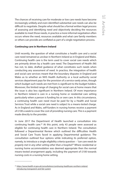The chances of receiving care for moderate or low care needs have become increasingly unlikely and even identified substantial care needs can also be difficult to negotiate. Despite what should be a formal written legal process of assessing and identifying need and objectively deciding the resources available to meet those needs, in practice a more informal negotiation often occurs where the need, resources available and what care family members or others can provide are conflated as part of a single negotiation process.

# **Continuing care in Northern Ireland**

Until recently, the question of what constitutes a health care and a social care need remained as unclear in Northern Ireland as in England and Wales. Continuing health care is the term used to cover social care needs which are primarily driven by a health care need. The Department of Health (NI) has not, to date, drafted guidance of what constitutes such needs when conducting any assessment of need. In practice, the integration of health and social care services meant that the boundary disputes in England and Wales as to whether an NHS Health Authority or a local authority social services department pays for the provision of a service rarely arises, though which budget such needs are met from is significant to the budget holders. Moreover, the limited range of charging for social care at home means that the issue is also less significant in Northern Ireland. Of more importance in Northern Ireland is care in a nursing home or residential care setting particularly when a person is funding his or own care. In this circumstance, a continuing health care need must be paid for by a Health and Social Services Trust while a social care need is subject to a means-tested charge. As in England and Wales, self-funders in nursing homes receive a payment of £100 a week to cover the cost of providing nursing care. This is a payment made directly to the provider.

In June 2017 the Department of Health launched a consultation into continuing health care.<sup>20</sup> At this point, only 43 people were assessed as eligible for continuing health care in Northern Ireland. The consultation followed a Departmental Review which outlined the difficulties Health and Social Care Trusts faced in applying Departmental guidance. The consultation outlined four options while indicating its preferred option, namely, to introduce a single eligibility criteria question – *"can care needs be properly met in any other setting other than a hospital?"* Where residential or nursing home accommodation was deemed appropriate then the normal means-tested arrangement apply, including the payment of £100 towards nursing costs in a nursing home setting.

<sup>&</sup>lt;sup>20</sup> [https://www.health-ni.gov.uk/consultations/continuing-healthcare-northern-ireland](https://www.health-ni.gov.uk/consultations/continuing-healthcare-northern-ireland-introducing-transparent-and-fair-system)*introducing-transparent-and-fair-system*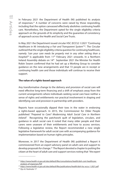In February 2021 the Department of Health (NI) published its analysis of responses.<sup>21</sup> A number of concerns were raised by those responding, including that the option canvassed effectively abolishes continuing health care. Nonetheless, the Department opted for the single eligibility criteria approach on the grounds of its simplicity and the guarantee of consistency of approach across the Health and Social Care Trusts.

In May 2021 the Department issued circular HSC (ECCU) 1/*2021 "Continuing Healthcare in NI: Introducing a Fair and Transparent System"*22. The Circular outlined that the single eligibility criteria question for continuing healthcare, namely *"can your care needs be properly met in any other setting than a*  hospital?" is applicable from 11<sup>th</sup> February 2021 onwards. In a Northern Ireland Assembly debate on 14<sup>th</sup> September 2021 the Minister for Health Robin Swann confirmed that he had set up a Working Group to consider guidance on the new arrangements and that 72 people are in receipt or continuing health care and those individuals will continue to receive their support.

# **The value of a rights-based approach**

Any transformative change to the delivery and provision of social care will need effective long-term financing and a shift of emphasis away from the current arrangements where individuals seeking social care have neither a sense of rights and entitlements nor practical involvement in shaping and identifying care and provision in partnership with providers.

Reports have occasionally dipped their toes in the water in endorsing a rights-based approach. In 2015, the Commissioner for Older People published "*Prepared to Care? Modernising Adult Social Care in Northern Ireland".* Recognising the patchwork quilt of legislation, circulars, and guidance in adult social care it noted that many older people and their carers were unaware of their entitlements and how to access services. Following a legislative review, the Report recommended a new single legislative framework for adult social care with accompanying guidance for implementation based on human rights principles.

Moreover, in 2017 the Department of Health (NI) published a Report it commissioned from an expert advisory panel on adult care and support to develop proposals for change.23 The Report devoted a chapter to putting the citizen at the heart of adult care and support services noting that *"the expert* 

22 *<https://www.health-ni.gov.uk/sites/default/files/publications/health/doh-hsc-eccu-1-2021.pdf>*

<sup>21</sup> *[https://www.health-ni.gov.uk/sites/default/files/consultations/health/doh-cont-healthcare](https://www.health-ni.gov.uk/sites/default/files/consultations/health/doh-cont-healthcare-analysis-of-responses.PDF)analysis-of-responses.PDF*

<sup>23</sup> Op cit. footnote 17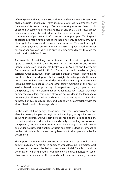*advisory panel wishes to emphasize at the outset the fundamental importance of a human rights approach in which people with care and support needs enjoy the same entitlement to quality of life and well-being as other citizens<sup>"24</sup>. In* effect, the Department of Health and Health and Social Care Trusts already talk about placing the individual at the heart of services through its commitment to "personalisation" of care and other principles. Turning such concepts into meaningful practice will need not only commitment, but a clear rights framework and the necessary resources. This would apply to both direct payments provision where a person is given a budget to pay for his or her own care as well as provision organized directly through the Health and Social Care Trusts.

An example of sketching out a framework of what a rights-based approach would look like can be seen in the Northern Ireland Human Rights Commission's inquiry into health care in Accident and Emergency Departments published in 2015.<sup>25</sup> During the public evidence giving sessions, Chief Executives often appeared quizzical when responding to questions about the adoption of a human rights-based approach. However, once it was outlined that it entailed putting the human rights of everyone, including staff, patients, carers and other family members, at the heart of services based on a reciprocal right to respect and dignity, openness and transparency and non-discrimination, Chief Executives stated that such approaches were largely in place, although not worded in the language of human rights. The core values of a human rights-based approach, including fairness, dignity, equality, respect, and autonomy, sit comfortably with the aims of health and social care provision.

In the case of Emergency Department care the Commission's Report identified nine principles to begin with, including good quality care and ensuring the dignity and well-being of patients, good terms and conditions for staff, equality, non-discrimination and equity in enabling access to care, transparency and communication around developing individual services and wider policies, participation of users and staff in decisions impacting on them at both individual and policy level, and finally, open and effective governance.

The Report recommended a pilot within at least one Trust to look at what adopting a human rights-based approach would look like in practice. Work commenced between the Belfast Health and Social Care Trust and the Commission which ultimately foundered on an unwillingness of senior clinicians to participate on the grounds that there were already sufficient

<sup>24</sup> Op cit Ch 3 p.25

<sup>&</sup>lt;sup>25</sup> *[Human Rights Inquiry: Emergency Health Care](https://nihrc.org/publication/detail/human-rights-inquiry-emergency-healthcare)* 2015. See Ch 4 p.117 onwards.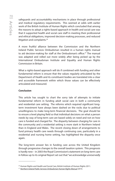safeguards and accountability mechanisms in place through professional and medical regulatory requirements. This seemed at odds with earlier work of the British Institute of Human Rights which concluded that among the reasons to adopt a rights-based approach in health and social care was that it supported health and social care staff in meeting their professional and ethical obligations, improved decision-making processes, and reduced litigation and complaints.<sup>26</sup>

A more fruitful alliance between the Commission and the Northern Ireland Public Services Ombudsman resulted in a human rights manual to aid decision-making for staff at the Ombudsman's office.<sup>27</sup> The manual was adapted and rolled out more widely after being picked up by the International Ombudsman Institute and Equality and Human Rights Commission in Britain.

What a rights-based approach will do if combined with funding and other fundamental reform is ensure that the values regularly articulated by the Department of Health and its constituent bodies are translated into a clear and accessible framework within which those values can be effectively articulated and measured.

### **Conclusion**

This article has sought to chart the sorry tale of attempts to initiate fundamental reform in funding adult social care in both a community and residential care setting. The reforms which required significant longterm investment have always been dashed on the rocks due to political unwillingness to make long-term financial decisions. The goal should be to ensure a level playing field so that individual decisions on what a person needs by way of long-term care are based solely on need and not on how care is funded and charged for. The disparity between charging for care in the community and a residential setting is more stark in Northern Ireland than in England and Wales. The recent closing down of arrangements to fund primary health care needs through continuing care, particularly in a residential and nursing home setting, has highlighted the disparity once again.

The long-term answer lies in funding care across the United Kingdom through progressive changes to the overall taxation system. This prognosis is hardly new – in 2003 the Royal Commission's statement on long-term care in follow-up to its original Report set out that "*we acknowledge unreservedly* 

<sup>&</sup>lt;sup>26</sup> Human Rights and Health and Social Care, British Institute of Human Rights 2011.

<sup>27</sup> *[Northern Ireland Public Services Ombudsman Human Rights Manual](https://nipso.org.uk/site/wp-content/uploads/2017/02/NIPSO-Human-Rights-Manual.pdf)* 2014.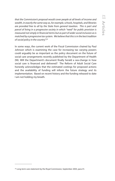*that the Commission's proposal would cover people at all levels of income and wealth, in exactly the same way as, for example, schools, hospitals, and libraries are provided free to all by the State from general taxation. This is part and parcel of living in a progressive society in which "need" for public provision is measured not simply in financial terms but as part of wider social inclusion as is matched by a progressive tax system. We believe that this is in the best tradition of social policy in the country*".28

In some ways, the current work of the Fiscal Commission chaired by Paul Johnson which is examining the case for increasing tax varying powers could arguably be as important as the policy document on the future of social care arrangements recently published by the Department of Health (NI). Will the Department's document finally herald a sea-change in how social care is financed and delivered? The Reform of Adult Social Care honestly acknowledges that the estimated costings for proposed actions and the availability of funding will inform the future strategy and its implementation. Based on recent history and the funding released to date I am not holding my breath.

<sup>&</sup>lt;sup>28</sup> Long-term care statement by the Royal Commission, September 2003, para 41.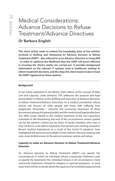# Medical Considerations: Advance Decisions to Refuse Treatment/Advance Directives

### Dr Barbara English

**This short article seeks to extend the knowledge base of the solicitor involved in drafting and witnessing an Advance Decision to Refuse Treatment (ADRT) - also referred to as an Advance Directive or Living Will - in order to optimise the likelihood that the ADRT will prove effective in ensuring the client's wishes are carried out. It provides background information on the relevant IT systems used in healthcare settings to inform treatment decisions, and the steps the client needs to take to have the ADRT registered on these systems.** 

### **Background**

In her article published in the Winter 2020 edition of the Journal of Elder Law and Capacity, Linda Johnston, TEP, addresses the purpose and legal practicalities in relation to the drafting and execution of Advance Decisions to Refuse Treatment/Advance Directives. As a medical practitioner whose clinical role focuses on older people and those with suffering from progressive dementias, I welcome the increasing awareness of these documents among the general public and the medical and legal professions. Too often issues related to the medical treatment of the non-capacitous individual in life-threatening and end of life circumstances remain guided not by the patient's wishes but by those of family members who may or may not know, or be able to represent, that person's pre-existing viewpoint. Recent medical experiences as a result of the Covid-19 pandemic have highlighted the pressures and pitfalls of 'best interest' decision-making with even more limited access to the person's previous wishes and values.

### **Capacity to make an Advance Decision to Refuse Treatment/Advance Directive**

An Advance Decision to Refuse Treatment (ARDT) can specify the circumstances in which an individual refuses a particular treatment, and/ or specify the treatments the individual refuses in all circumstances (most commonly treatments refused for religious or spiritual purposes). In most cases there will be no doubt about the capacity of an individual approaching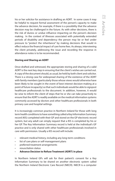his or her solicitor for assistance in drafting an ADRT. In some cases it may be helpful to request formal assessment of the person's capacity to make the advance decision, for example, if there is a possibility that the advance decision may be challenged in the future. As with other decisions, there is the risk of duress or undue influence impacting on the person's decision making. In the context of illnesses associated with potentially extended periods of disability and dependency the person may be or feel under pressure to "protect the inheritance" by making decisions that would in effect reduce the financial impact of care home fees. As always, interviewing the client privately, addressing the issue and recording the response in attendance notes is to be recommended.

### **Storing and Sharing an ADRT**

Once drafted and witnessed, the appropriate storing and sharing of a valid ADRT is the next key step in ensuring that the client's wishes are carried out. A copy of the document should, as usual, be held by both client and solicitor. There is a strong case for widespread sharing of the existence of the ADRT with family members (particularly those whose views would otherwise have been likely to be sought in the event of best interest decision-making at a point of future incapacity) so that such individuals would be able to signpost healthcare professionals to the document. In addition, however, it would be wise to inform the client of steps that he or she can take proactively to ensure that the ADRT is readily available on the medical information systems commonly accessed by doctors and other healthcare professionals in both primary care and hospital settings.

It is increasingly common practice in Northern Ireland for those with long term health conditions to have something called a Key Information Summary record (KIS) completed with their GP and stored on the GP electronic record system, but any adult can simply request that a KIS is completed by his or her GP. The Key Information Summary record is held at the individual's GP practice and is only shared with other healthcare professionals involved in care with permission. Usually a KIS record will include:

- relevant medical history, including any long-term conditions
- list of care plans or self-management plans
- preferred treatment arrangements
- resuscitation status
- **Advance Decision to Refuse Treatment (ADRT) in place**

In Northern Ireland GPs will ask for their patient's consent for a Key Information Summary to be shared on another electronic system called the Northern Ireland Electronic Care Record (NIECR). NIECR is a computer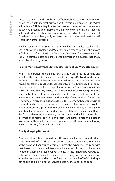system that Health and Social Care staff routinely use to access information on an individual's medical history and therefore a completed *and shared*  KIS with a ADRT is a highly effective means to ensure the information/ document is readily and reliably available to relevant professional involved in the individual's treatment and care, including end of life care. The current Covid-19 pandemic has greatly increased the completion and sharing of KIS records in Northern Ireland.

Similar systems exist in Scotland and in England and Wales. Scotland also uses a KIS, while in England and Wales the same type of document is known as "Additional Information in the Summary Care Record", again generated in the GP electronic notes and shared with permission on multiple nationally accessible clinical systems.

### **Related Matters: Advance Statements/Record of My Wishes Document**

Whilst it is important to be explicit that a valid ADRT is legally binding and specifies (the clue is in the name) the refusal of **specific treatments** in the future, it may be helpful to be able to advise the client of additional measures he/she can take to **guide** wider aspects of his or her future health or social care in the event of a loss of capacity. An Advance Statement (sometimes known as a Record of My Wishes document) is **not** legally binding, but those taking a best interest decision should take the contents into account. The Statement can be used to record wishes and preferences about future care, for example, where the person would like to live, whom they would wish to have visit, and whether the person would prefer to die at home or in hospital. It can be used to explain how the person balances quality of life against length of life. At a more day to day level the Statement can include things like food preferences, activities enjoyed and moral and political views. Such information is helpful to health and social care professionals and is also of assistance to those who have been appointed as attorney under a Lasting Power of Attorney for Health and Care.

#### **Finally - keeping it current**

As a medical practitioner I would make the comment that for some individuals - even the well-informed - making an ARDT and or an Advance Statement at the point of diagnosis of a chronic illness, the experience of living with that illness turns out to be different to what was anticipated. It is important to note that just like other legal documents an ARDT should be kept up-todate and amended or revoked in response to changes in circumstances and attitudes. While it is prudent to use foresight, the benefit of 20/20 hindsight can still be applied whilst the individual retains the capacity to do so.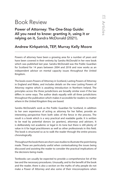# Book Review

Power of Attorney: The One-Stop Guide: All you need to know: granting it, using it or relying on it, Sandra McDonald (2021).

### Andrew Kirkpatrick, TEP, Murray Kelly Moore

Powers of attorney have been a growing area for a number of years and have been covered in their entirety by Sandra McDonald in her new book which was published last year. Sandra McDonald was the Public Guardian for Scotland for 14 years between 2004 and 2018 and now works as an independent advisor on mental capacity issues throughout the United Kingdom.

The book covers Powers of Attorney in Scotland, Lasting Powers of Attorney in England and Wales, and includes details on the new Lasting Powers of Attorney regime which is awaiting introduction in Northern Ireland. The principles across the three jurisdictions are broadly similar even if the law differs in some ways. The author deals equally with all three jurisdictions throughout the publication which makes it accessible for readers no matter where in the United Kingdom they are based.

Sandra McDonald's work as the Public Guardian for Scotland, in addition to her own experience of acting as attorney for her father, provide an interesting perspective from both sides of the fence in the process. The result is a book which is a very practical and readable guide. It is written to be read by potential donors (or granters), attorneys and advisers. It is deliberately not academic or legal in its tone but there is still plenty of value in it for legal practitioners as well as other professionals in this field. The book is structured so as to walk the reader through the entire process chronologically.

Throughout the book there are short case studies to illustrate the point being made. These are particularly useful when contextualising the issues being discussed and assisting the reader to consider the practical implications of the decisions being made.

Textbooks can usually be expected to provide a comprehensive list of the law and the necessary procedures. Unusually, and to the benefit of the book and the reader, there is also a section on the myths of why people do not make a Power of Attorney and also some of their misconceptions when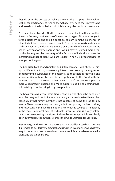they do enter the process of making a Power. This is a particularly helpful section for practitioners to remind them that clients need these myths to be addressed and the book helps to do this in a very clear and concise manner.

As a practitioner based in Northern Ireland, I found the Health and Welfare Power of Attorney section to be of interest as this type of Power is not yet in force in Northern Ireland and it is beneficial to learn from the experiences in other jurisdictions before I have a client in front of me who wishes to make such a Power. On the downside, there is only a very brief paragraph on the use of Powers of Attorney abroad and I would have welcomed more detail on this issue given the proximity of the Republic of Ireland, and also the increasing number of clients who are resident in non-UK jurisdictions for at least part of the year.

The book is full of tips and pointers and different readers will, of course, pick up on different sections; however, my interest was taken by the suggestion of appointing a supervisor of the attorney so that there is reporting and accountability without the need for an application to the Court with the time and cost that is involved in that process. Use of a supervisor is perhaps more widespread in England and Wales currently but it is something that I will certainly consider using in my own practice.

The book contains a very interesting section on who should be appointed as an Attorney and the limitations of it being an immediate family member, especially if that family member is not capable of doing the job for any reason. There is also a very practical guide to supporting decision making and respecting rights which is not an area which is covered as efficiently in the more traditional type of textbook. Similarly, there is a very helpful section on recognising the signs of abuse by attorneys which has clearly been informed by the author's years as the Public Guardian for Scotland.

In summary, Sandra McDonald's book is not a typical legal textbook, nor was it intended to be. It is very practical and is written in a manner which is very easy to understand and accessible for everyone. It is a valuable resource for client and practitioner alike.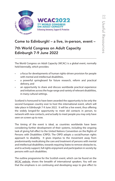

## Come to Edinburgh! – a live, in-person, event –

### 7th World Congress on Adult Capacity Edinburgh 7-9 June 2022

The World Congress on Adult Capacity (WCAC) is a global event, normally held biennially, which provides:

- a focus for developments of human rights-driven provision for people with mental and intellectual disabilities,
- a powerful springboard for future research, reform and practical delivery, and
- an opportunity to share and discuss worldwide practical experience and initiatives across the huge range and variety of relevant disabilities, in many cultural settings.

Scotland is honoured to have been awarded the opportunity to be only the second European country ever to host this international event, which will take place in Edinburgh 7-9 June 2022. It will be a live event, thus offering the widely longed-for opportunity to meet old contacts in person, to network with new contacts, and actually to meet people you may only have seen on screen up to now.

The timing of the event is ideal, as countries worldwide have been considering further development of their systems, including the ongoing task of giving full effect to the United Nations Convention on the Rights of Persons with Disabilities (CRPD). The CRPD adopts a social/human rights approach to disability. It gives impetus to the movement away from predominantly medicalising the care and treatment of persons with mental and intellectual disabilities, towards requiring States to remove obstacles to, and to actively support, full rights enjoyment and participation in society by persons with such disabilities.

The outline programme for the Scottish event, which can be found on the *WCAC website*, shows the breadth of international speakers. You will see [that the emphasis is](https://wcac2022.org/) on continuing and developing ways to give effect to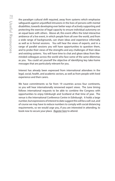the paradigm cultural shift required, away from systems which emphasise safeguards against unjustified intrusions in the lives of persons with mental disabilities, towards developing ever better ways of actively supporting and protecting the exercise of legal capacity to ensure individual autonomy on an equal basis with others. Above all, this event offers the total interactive ambience of a live event, in which people from all over the world, and from a wide range of backgrounds, can share ideas and experience informally as well as in formal sessions. You will hear the views of experts, and in a range of parallel sessions you will have opportunities to question them, and to probe their views of the strengths and any challenges of their ideas and existing systems. You will have time to chat and glean ideas from likeminded colleagues across the world who face some of the same dilemmas as you. You could set yourself the objective of identifying key take-home messages that are particularly relevant for you.

Interest has already been expressed from international attendees in the legal, social, health, and academic sectors, as well as from people with lived experience and their carers.

We have commitments so far from 19 countries across four continents, so you will hear internationally renowned expert views. The June timing follows international requests to be able to combine the Congress with opportunities to enjoy Edinburgh and Scotland at that time of year. The venue is the International Conference Centre in Edinburgh. It holds a large number, but expressions of interest to date suggest this will be a sell-out, and of course we may have to reduce numbers to comply with social distancing requirements, so we would urge you, if you are interested in attending, to book now to secure your place. *[Register here](https://wcac2022.org/registration/)* to attend.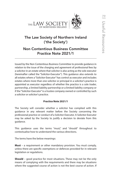

## The Law Society of Northern Ireland ('the Society')

## Non Contentious Business Committee Practice Note 2021/1

Issued by the Non Contentious Business Committee to provide guidance in relation to the issue of the charging and agreement of professional fees by a solicitor in an estate where that solicitor is also acting as the sole executor (hereinafter called the "Solicitor-Executor"). This guidance also extends to all estates where a "Solicitor-Executor" has control as executor and includes estates where more than one solicitor or principal in a solicitor's practice is appointed as executor regardless of whether the practice is a sole trader, partnership, a limited liability partnership or a limited liability company or if the "Solicitor-Executor" is a trustee company owned or controlled by such a solicitor or solicitor's practice.

### **Practice Note 2021/1**

The Society will consider whether a solicitor has complied with this guidance in any relevant matter before the Society concerning the professional practice or conduct of a Solicitor-Executor. A Solicitor-Executor may be asked by the Society to justify a decision to deviate from this guidance.

This guidance uses the terms "must," and "should" throughout to contextualise how to understand the various directions.

The terms have the below meanings:

**Must** – a requirement or other mandatory provision. You must comply, unless there are specific exemptions or defences provided for in relevant legislation or regulations.

**Should** – good practice for most situations. These may not be the only means of complying with the requirements and there may be situations where the suggested course of action is not the best course of action. If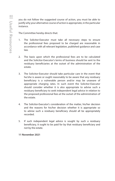you do not follow the suggested course of action, you must be able to justify why your alternative course of action is appropriate, in the particular instance.

The Committee hereby directs that:

- 1. The Solicitor-Executor must take all necessary steps to ensure the professional fees proposed to be charged are reasonable in accordance with all relevant legislation, published guidance and case law.
- 2. The basis upon which the professional fees are to be calculated and the Solicitor-Executor's terms of business should be sent to the residuary beneficiaries at the outset of the administration of the estate.
- 3. The Solicitor-Executor should take particular care in the event that he/she is aware or ought reasonably to be aware that any residuary beneficiary is a vulnerable person and/or may be unaware of appropriate charging rates. In such event the Solicitor-Executor should consider whether it is also appropriate to advise such a residuary beneficiary to seek independent legal advice in relation to the proposed professional fees at the outset of the administration of the estate.
- 4. The Solicitor-Executor's consideration of the matter, his/her decision and the reasons for his/her decision whether it is appropriate so to advise such a residuary beneficiary should all be appropriately recorded.
- 5. If such independent legal advice is sought by such a residuary beneficiary, it ought to be paid for by that residuary beneficiary and not by the estate.

**11 November 2021**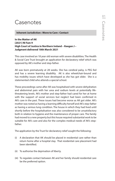# **Casenotes**

 **Inherent Jurisdiction : Move to Care : Contact**

**In the Matter of AK [2021] NI Fam 9 High Court of Justice in Northern Ireland – Keegan J – Judgment delivered 18th March 2021**

This case involved an 18 year old woman with severe disabilities. The Health & Social Care Trust brought an application for declaratory relief which was opposed by AK's mother and step-father.

AK was born prematurely at 28 weeks. She has cerebral palsy, is PEG fed and has a severe learning disability. AK is also wheelchair-bound and has mobility issues which have developed as she has got older. She is a statemented child who attends a special school.

These proceedings came after AK was hospitalised with severe dehydration and abdominal pain with her urea and sodium levels at potentially lifethreatening levels. AK's mother and step-father had cared for her at home with the support of social services but neglect had been confirmed in AK's care in the past. These issues had become worse as AK got older. AK's mother was noted as having a learning difficulty herself and AK's step-father as having a serious lung condition. The house in which they had lived until shortly before the hospitalisation was also considered to be unsatisfactory both in relation to hygiene and the maintenance of proper care. The family had moved to a new property but this house required substantial work to be suitable for AK's care and also for the complex medical needs of AK's stepfather.

The application by the Trust for declaratory relief sought the following:

- (i) A declaration that AK should be placed in residential care rather than return home after a hospital stay. That residential care placement had been identified.
- (ii) To authorise the deprivation of liberty.
- (iii) To regulate contact between AK and her family should residential care be the preferred option.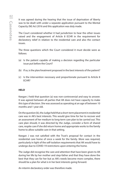It was agreed during the hearing that the issue of deprivation of liberty was to be dealt with under a separate application pursuant to the Mental Capacity (NI) Act 2016 and this application was duly made.

The Court considered whether it had jurisdiction to hear the other issues raised and the engagement of Article 8 ECHR in the requirement for declaratory relief in relation to the residential care and also the contact issues.

The three questions which the Court considered it must decide were as follows:

- (a) Is the patient capable of making a decision regarding the particular issue put before the Court?
- (b) If so, is the plan/treatment proposed in the best interests of the patient?
- (c) Is the intervention necessary and proportionate pursuant to Article 8 ECHR?

### **HELD**

Keegan J held that question (a) was non-controversial and easy to answer. It was agreed between all parties that AK does not have capacity to make this type of decision. She was assessed as operating at an age of between 10 months and 1 year old.

On the question (b), the Judge held that a short-term placement in residential care was in AK's best interests. This would give time for her to recover and an assessment of her medium to long-term care plan to be carried out. This care plan should, it was directed by the Judge, consider a form of shared care, respite care if she did return home and appropriate works to the family home to allow suitable care in that setting.

Keegan J was not satisfied with the Trust's proposal for contact in the residential care home of once a week for the family. More was required, particularly in light of the self-isolation requirements that AK would have to undergo due to COVID-19 restrictions upon entering the home.

The Judge did recognise the care and attention that have been given to AK during her life by her mother and step-father and that they have done the best that they can for her but as AK's needs become more complex, there should be a plan for what is in her best interests going forward.

An interim declaratory order was therefore made.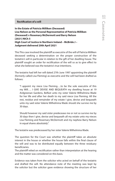#### **Rectification of a will**

**In the Estate of Patricia Milliken (Deceased) Lisa Nelson as the Personal Representative of Patricia Milliken (Deceased) v Rosemary McDermott and Barry Nelson [2021] NICh 5 High Court of Justice in Northern Ireland – McBride J – Judgment delivered 20th April 2021**

This This case involved the plaintiff as executrix of the will of Patricia Milliken deceased seeking a determination on the proper construction of the testatrix's will in particular in relation to the gift of her dwelling house. The plaintiff sought an order for rectification of the will so as to give effect to what she believed was the testatrix's true intentions.

The testatrix had left her will dated 27th June 1997 appointing the plaintiff (formerly called Lisa Fleming) as executrix and the will had been drafted as follows:

 "I appoint my niece Lisa Fleming….to be the sole executrix of this my Will…. I GIVE DEVISE AND BEQUEATH my dwelling house at 19 Ardgreenan Gardens, Belfast unto my sister Valerie Wilhelmina Wade for her life and after her death to my said niece Lisa Fleming. All the rest, residue and remainder of my estate I give, devise and bequeath unto my said sister Valerie Wilhelmina Wade should she survive me by 30 days.

 Should however my said sister predecease me or not so survive me by 30 days then I give, devise and bequeath all my estate unto my nieces Lisa Fleming and Rosemary McDermott and my nephew Barry Nelson in equal shares absolutely".

The testatrix was predeceased by her sister Valerie Wilhelmina Wade.

The question for the Court was whether the plaintiff takes an absolute interest in the house or whether the house falls within the final clause of the will and was to be distributed equally between the three residuary beneficiaries.

The plaintiff relied on rectification rather than interpretation at the hearing and the matter was considered on this basis.

Evidence was taken from the solicitor who acted on behalf of the testatrix and drafted the will. No attendance note of the meeting was kept by the solicitor but the solicitor gave evidence showing the structure of her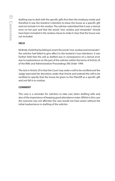drafting was to deal with the specific gifts first then the residuary estate and therefore it was the testatrix's intention to leave the house as a specific gift and not include it in the residue. The solicitor submitted that it was a clerical error on her part and that the words "rest, residue and remainder" should have been included in the residue clause to make it clear that the house was not included.

### **HELD**

McBride J held that by failing to insert the words "rest, residue and remainder", the solicitor had failed to give effect to the testatrix's true intentions. It was further held that the will as drafted was in consequence of a clerical error due to inadvertence on the part of the solicitor within the terms of Article 29 of the Wills and Administration Proceedings (NI) Order 1994.

The test in Article 29 is that the Court may order a will to be rectified and the Judge exercised her discretion under that Article and ordered the will to be rectified to specify that the house be given to the Plaintiff as a specific gift and not fall in to residue.

### **COMMENT**

This case is a reminder for solicitors to take care when drafting wills and also of the importance of keeping good attendance notes. Whilst in this case the outcome was not affected, the case would not have arisen without the initial inadvertence in drafting of the solicitor.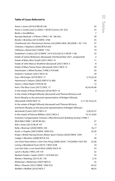### **Table of Cases Referred to**

| Ames v Jones [2016] 8 WLUK 256                                          | 42               |
|-------------------------------------------------------------------------|------------------|
| Aroso v Coutts and Co [2002] 1 All ER (Comm) 241 (Ch)                   | 33               |
| <b>Banks v Goodfellow</b>                                               | 7                |
| Barclays Bank plc v O'Brien [1994] 1 AC 180 (HL)                        | 39               |
| Breslin v Bromley [2015] EWHC 3760                                      | 25               |
| Chartbrook Ltd v Persimmon Homes Ltd [2009] UKHL 38/[2009] 1 AC 1101    | 37               |
| Chittock v Stephens [2000] WTLR 643                                     | 16               |
| Clitheroe v Bond [2021] EWHC 1102                                       | 19               |
| Drakeford v Cotton [2012] EWHC 1414 (Ch)/[2012] 3 All ER 1138           | 33               |
| Estate of James McKeown (deceased) (3rd November 2021, unreported)      | 2                |
| Estate of Mary Alice Smyth [2021] NICh 16                               | 11               |
| Estate of John Marcus Stratford (deceased) [2021] NICh 3                | 8                |
| Estate of Mary Teresa Toner (deceased) [2021] NICh 12                   | 29               |
| Esterhuizen v Allied Dunbar [1998] 2 FLR 668                            | 20               |
| Graham v Graham [2021] NICA 25                                          | 29               |
| Guy v McGregor [2019] NICh 17                                           | 2,19,22,24       |
| Hammond v Osborn [2002] EWCA Civ 885                                    | 40               |
| Heron v Ulster Bank [1974] NI 44                                        | 12               |
| Ilott v The Blue Cross [2017] UKSC 17                                   | 42,43,44,48      |
| In the estate of Brian McKenzie [2016] NICh 10                          | 2                |
| In the estate of Brigid Gilhooly (deceased) and Theresa McGarry and     |                  |
| Kevin Murphy as the personal representative of Bridget Gilhooly         |                  |
| (deceased) [2020] NICh 15                                               | 2,17,18,19,22,25 |
| In the estate of Brigid Gilhooly (deceased) and Theresa McGarry         |                  |
| and Kevin Murphy as the personal representative of Bridget Gilhooly (   |                  |
| deceased) (Costs) [2021] NICh 21                                        | 2,24,25,27       |
| In the estate of Patricia Milliken [2021] NICh 5                        | 14, 15, 16, 83   |
| Investors Compensation Scheme v West Bromwich Building Society [1998] 1 |                  |
| WLR 896/[1998] 1 All ER 98 (HL)                                         | 37               |
| Kell v Jones [2013] NLJR 107                                            | 13               |
| Kelly v Brennan [2020] EWHC 245                                         | 16,17            |
| Kostic v Chaplin [2007] EWHC 2909 (Ch)                                  | 25,30            |
| Knipe v British Racing Drivers Motor Sport Charity [2020] EWHC 3295     | 7                |
| Ledger v Wootton [2008] WTLR 235                                        | 20               |
| Lim Chen Yeow Kelvin v Goh Chin Peng [2008] SGHC 119/[2008] 4 SLR 783   | 33,38            |
| Loring v Woodland Trust [2015] 1 WLR 3238                               | 10               |
| Low Gim Siah v Low Geok Khim [2006] SGCA 45                             | 33               |
| Lynch v Burke [1995] 2 IR 159                                           | 32               |
| Madsen Estate v Saylor [2007] 1 SCR 838 (SC)                            | 33               |
| Marley v Rawlings [2015] AC 129                                         | 5,16             |
| McKernan v McKernan [2007] NICh 6                                       | 55               |
| Miles v Shearer [2021] EWHC 1000 (Ch)                                   | 42,52            |
| Moffatt v Moffatt [2016] NICh 7                                         | 48,55            |
|                                                                         |                  |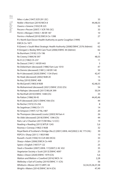Tables 86

| Niles v Lake [1947] SCR 291 (SC)                                            | 33                     |
|-----------------------------------------------------------------------------|------------------------|
| Noble v Morrison [2019] NICh 8                                              | 44,48,55               |
| Owens v Greene [1932] IR 225                                                | 32                     |
| Pecore v Pecore [2007] 1 SCR 795 (SC)                                       | 33                     |
| Perrin v Morgan [1943] 1 All ER 187                                         | 10                     |
| Perrins v Holland [2010] EWCA Civ 1398                                      | 27                     |
| R v North East Devon Health Authority ex parte Coughlan [1999]              |                        |
| EWCA Civ 1871                                                               | 61                     |
| R (Green) v South West Strategic Health Authority [2008] EWHC 2576 (Admin)  | 62                     |
| R (Grogan) v Bexley NHS Care Trust [2006] EWHC 44 (Admin)                   | 62                     |
| Re Burnham [1918] 2 Ch 196                                                  | 5                      |
| Re Creeny [1984] NI 397                                                     | 48,55                  |
| Re D (J) [1982] Ch 237                                                      | 11                     |
| Re Daoust [1941] 1 All ER 443                                               | 5                      |
| Re Debenham (deceased) [1986] Fam Law 1010                                  | 47                     |
| Re Dennis (deceased) [1981] 2 All ER 140                                    | 50                     |
| Re H (deceased) [2020] EWHC 1134 (Fam)                                      | 42,47                  |
| Re Heak (deceased) [2002] NIJB 20                                           | 15                     |
| Re Key [2010] EWHC 408                                                      | 19                     |
| Re McGarrell [1983] 8 NIJB                                                  | 42,48,55               |
| Re Mohammed (deceased) [2021] EWHC 2532 (Ch)                                | 54                     |
| Re Nahajec (deceased) [2017] WLUK 399                                       | 50,54                  |
| Re Northall [2010] EWHC 1448 (Ch)                                           | 33                     |
| Re Patton [1986] NI 45                                                      | 44,45,46               |
| Re R (deceased) [2021] EWHC 936 (Ch)                                        | 44                     |
| Re Recher [1972] Ch 256                                                     | 8                      |
| Re Segelman [1996] Ch 171                                                   | 14                     |
| Re Simpson [1997] 127 NLJ 487                                               | 20                     |
| Re Thompson (deceased) (costs) [2003] NI Fam 4                              | 26                     |
| Re Ubbi (deceased) [2018] EWHC 1396 (Ch)                                    | 44                     |
| Ram, Lal v Chauhan [2017] EW Misc 12 (CC)                                   | 19                     |
| Reading v Reading [2015] WTLR 1245                                          | 5,6                    |
| Rooney v Conway [1982] 5 NIJB                                               | 32                     |
| Royal Bank of Scotland v Etridge (No.2) [2001] UKHL 44/[2002] 2 AC 773 (HL) | 39                     |
| RSPCA v Sharp [2011] 1 WLR 980                                              | 10                     |
| Russell v Scott [1936] 55 CLR 440 (HCA)                                     | 33                     |
| Sharp v Adam [2006] EWCA Civ 449                                            | 21                     |
| Spiers v English [1907] P 122                                               | 25                     |
| Stack v Dowden [2007] UKHL 17/[2007] 2 AC 432                               | 35                     |
| Vegetarian Society v Scott [2013] EWHC 4097                                 | 25                     |
| Wales v Dixon [2020] EWHC 1979 (Ch)                                         | 5,6                    |
| Watton and Watton v Crawford [2016] NICh 14                                 | 2,28                   |
| Wellesley v Earl of Cowley [2019] EWHC 11 (Ch)                              | 56                     |
| Whitlock v Moree [2017] UKPC 44                                             | 32, 34, 35, 36, 37, 38 |
| Wright v Waters [2014] EWHC 3614 (Ch)                                       | 47,49                  |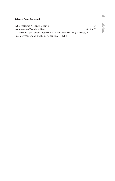| <b>Table of Cases Reported</b>                                               |             |  |
|------------------------------------------------------------------------------|-------------|--|
|                                                                              |             |  |
| In the matter of AK [2021] NI Fam 9                                          | 81          |  |
| In the estate of Patricia Milliken                                           | 14,15,16,83 |  |
| Lisa Nelson as the Personal Representative of Patricia Milliken (Deceased) v |             |  |
| Rosemary McDermott and Barry Nelson [2021] NICh 5                            |             |  |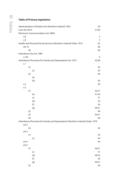### **Table of Primary legislation**

| Administration of Estates Act (Northern Ireland) 1955                           | 29    |
|---------------------------------------------------------------------------------|-------|
| Care Act 2014                                                                   | 57,65 |
| Electronic Communications Act 2000                                              |       |
| 5.8                                                                             | 3     |
| S.9                                                                             | 3     |
| Health and Personal Social Services (Northern Ireland) Order 1972               | 62    |
| art.15                                                                          | 66    |
| (4)                                                                             | 66    |
| Inheritance Tax Act 1984                                                        |       |
| s.142                                                                           | 9     |
| Inheritance (Provision for Family and Dependants) Act 1975                      | 43,46 |
| s.1                                                                             |       |
| (1)                                                                             | 43    |
| (c)                                                                             | 43    |
| (2)                                                                             | 44    |
| (a)                                                                             |       |
| (b)                                                                             | 43    |
| s.2                                                                             | 44    |
| s.3                                                                             |       |
| (1)                                                                             | 44,51 |
| (a)                                                                             | 51,54 |
| (c)                                                                             | 51    |
| (d)                                                                             | 53    |
| (f)                                                                             | 54    |
| (g)                                                                             | 49,51 |
| (2)                                                                             | 44    |
| (3)                                                                             | 44,51 |
| (4)                                                                             | 44    |
| Inheritance (Provision for Family and Dependants) (Northern Ireland) Order 1979 |       |
| art.2                                                                           |       |
| (2)                                                                             | 43    |
| art.3                                                                           |       |
| (1)                                                                             | 43    |
| (c)                                                                             | 43    |
| art.4                                                                           | 44    |
| art.5                                                                           |       |
| (1)                                                                             | 44,51 |
| (c)                                                                             | 51    |
| (d)                                                                             | 49,53 |
| (f)                                                                             | 54    |
| (g)                                                                             | 49,51 |
| (2)                                                                             | 44    |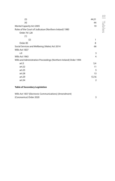| (3)                                                                | 44,51 |  |
|--------------------------------------------------------------------|-------|--|
| (4)                                                                | 44    |  |
| <b>Mental Capacity Act 2005</b>                                    | 19    |  |
| Rules of the Court of Judicature (Northern Ireland) 1980           |       |  |
| Order 761,28                                                       |       |  |
| (1)                                                                |       |  |
| (2)                                                                | 1     |  |
| Order 85                                                           | 8     |  |
| Social Services and Wellbeing (Wales) Act 2014                     | 66    |  |
| Wills Act 1837                                                     |       |  |
| s.9                                                                | 3     |  |
| Wills Act 1963                                                     | 4     |  |
| Wills and Administration Proceedings (Northern Ireland) Order 1994 |       |  |
| art.5                                                              | 3,4   |  |
| art.22                                                             | 11    |  |
| art.25                                                             | 5     |  |
| art.28                                                             | 13    |  |
| art.29                                                             | 13,16 |  |
| art.34                                                             | 2     |  |

### **Table of Secondary Legislation**

Wills Act 1837 (Electronic Communications) (Amendment) (Coronavirus) Order 2020 3

Tables 89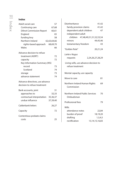### **Index**

| Adult social care               | 57          |
|---------------------------------|-------------|
| Continuing care                 | 67,68       |
| <b>Dilnot Commission Report</b> | 60,61       |
| England                         | 65          |
| funding levy                    | 58          |
| Northern Ireland                | 62,63,64,66 |
| rights-based approach           | 68,69,70    |
| Wales                           | 66          |
| Advance decision to refuse      |             |
| treatment (ADRT)                | 72          |
| capacity                        | 72          |
| Key Information Summary (KIS)   |             |
| record                          | 73          |
| Scotland                        | 74          |
| storage                         | 73          |
| advance statement               | 74          |
| Advance directives, use advance |             |
| decision to refuse treatment    |             |
| Bank accounts, joint            | 31          |
| approaches to                   | 32,33       |
| contractual interpretation      | 35,36,37    |
| undue influence                 | 37,39,40    |
| Calderbank letters              | 26,27       |
| Capacity                        | 72          |
| Contentious probate claims      |             |
| costs                           | 25          |
|                                 |             |

| Disinheritance                                            | 41,42              |  |
|-----------------------------------------------------------|--------------------|--|
| family provision claims                                   | 41,42              |  |
| dependent adult children                                  | 47                 |  |
| independent adult                                         |                    |  |
| children 47,48,49,51,51,52,53,54                          |                    |  |
| minors                                                    | 44,45,46           |  |
| testamentary freedom                                      | 43                 |  |
| "Golden Rule"                                             | 20,21,24           |  |
| Larke v Nugus                                             |                    |  |
| requests                                                  | 2,24,26,27,28,29   |  |
| Living wills, use advance decision to<br>refuse treatment |                    |  |
| Mental capacity, use capacity                             |                    |  |
| Move to care                                              | 81                 |  |
| Northern Ireland Human Rights<br>Commission               | 69                 |  |
| Northern Ireland Public Services<br>Ombudsman             | 70                 |  |
| Professional fees                                         | 79                 |  |
| Wills                                                     |                    |  |
| attendance notes                                          | 22,84              |  |
| burden of proof                                           | 18,19,20           |  |
| drafting                                                  | 1.3.4.5            |  |
| rectification                                             | 13, 14, 15, 16, 83 |  |